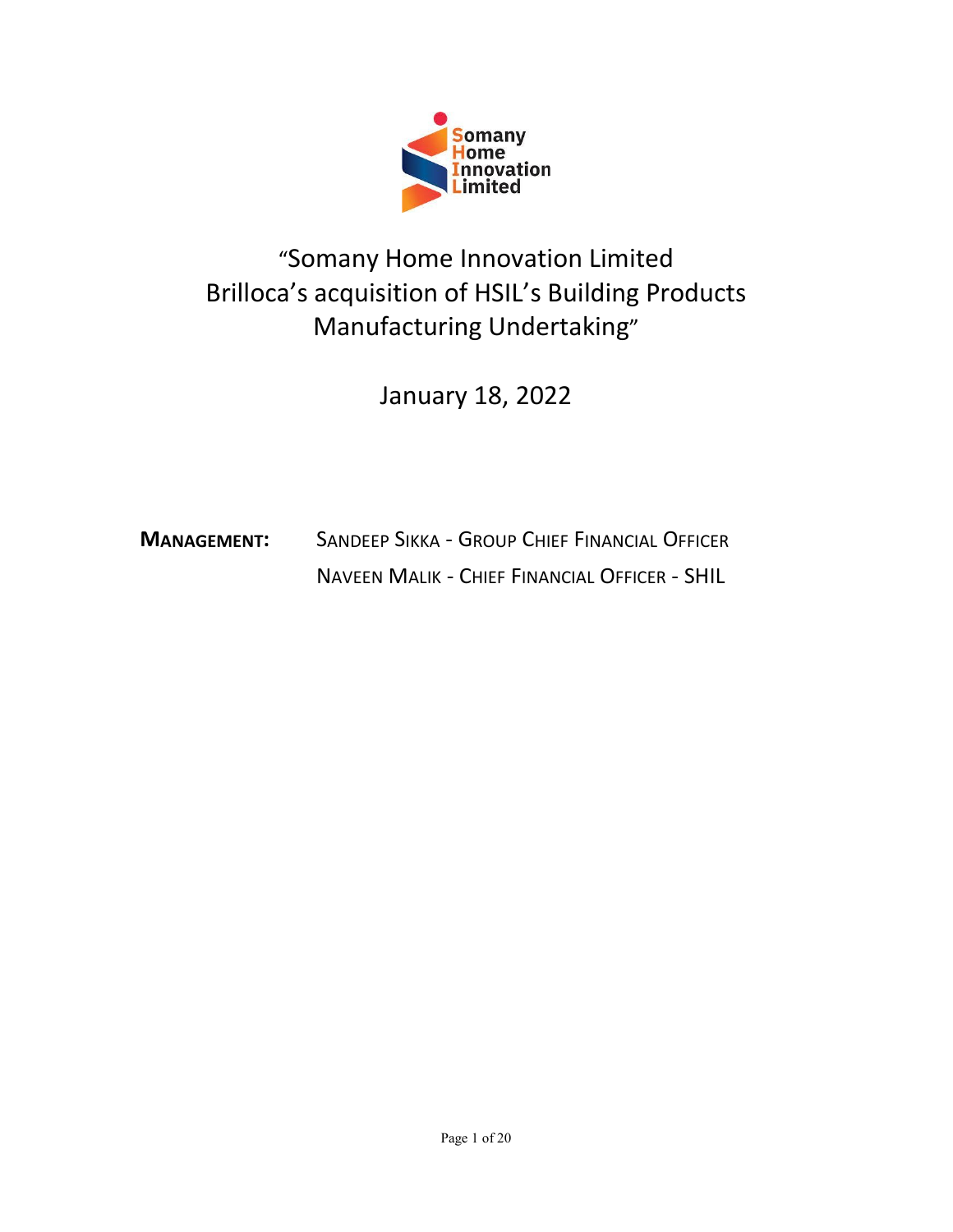

### Somany<br>
Home<br>
Innovation<br>
"Somany Home Innovation Limited<br>
a's acquisition of HSIL's Building Products<br>
Manufacturing Undertaking" Somany<br>
Home<br>
Impovation<br>
"Somany Home Innovation Limited<br>
Brilloca's acquisition of HSIL's Building Products<br>
Manufacturing Undertaking"<br>
January 18, 2022 Somany<br>
Home<br>
Innovation<br>
Imited<br>
acquisition of HSIL's Building Products<br>
Manufacturing Undertaking"<br>
January 18, 2022 **Somany**<br>
Home<br>
Innovation<br>
Home Innovation Limited<br>
Sition of HSIL's Building Products<br>
facturing Undertaking"<br>
January 18, 2022 MANAGEMENT:<br>
MANAGEMENT: SANDEEP SIKKA - GROUP CHIEF FINANCIAL OFFICER<br>
NANAGEMENT: SANDEEP SIKKA - GROUP CHIEF FINANCIAL OFFICER<br>
NANAGEMENT: SANDEEP SIKKA - GROUP CHIEF FINANCIAL OFFICER<br>
NAVEEN MALIK - CHIEF FINANCIAL O Many Home Innovation Limited<br>
acquisition of HSIL's Building Products<br>
Manufacturing Undertaking"<br>
January 18, 2022<br>
SANDEEP SIKKA - GROUP CHIEF FINANCIAL OFFICER<br>
NAVEEN MALIK - CHIEF FINANCIAL OFFICER - SHIL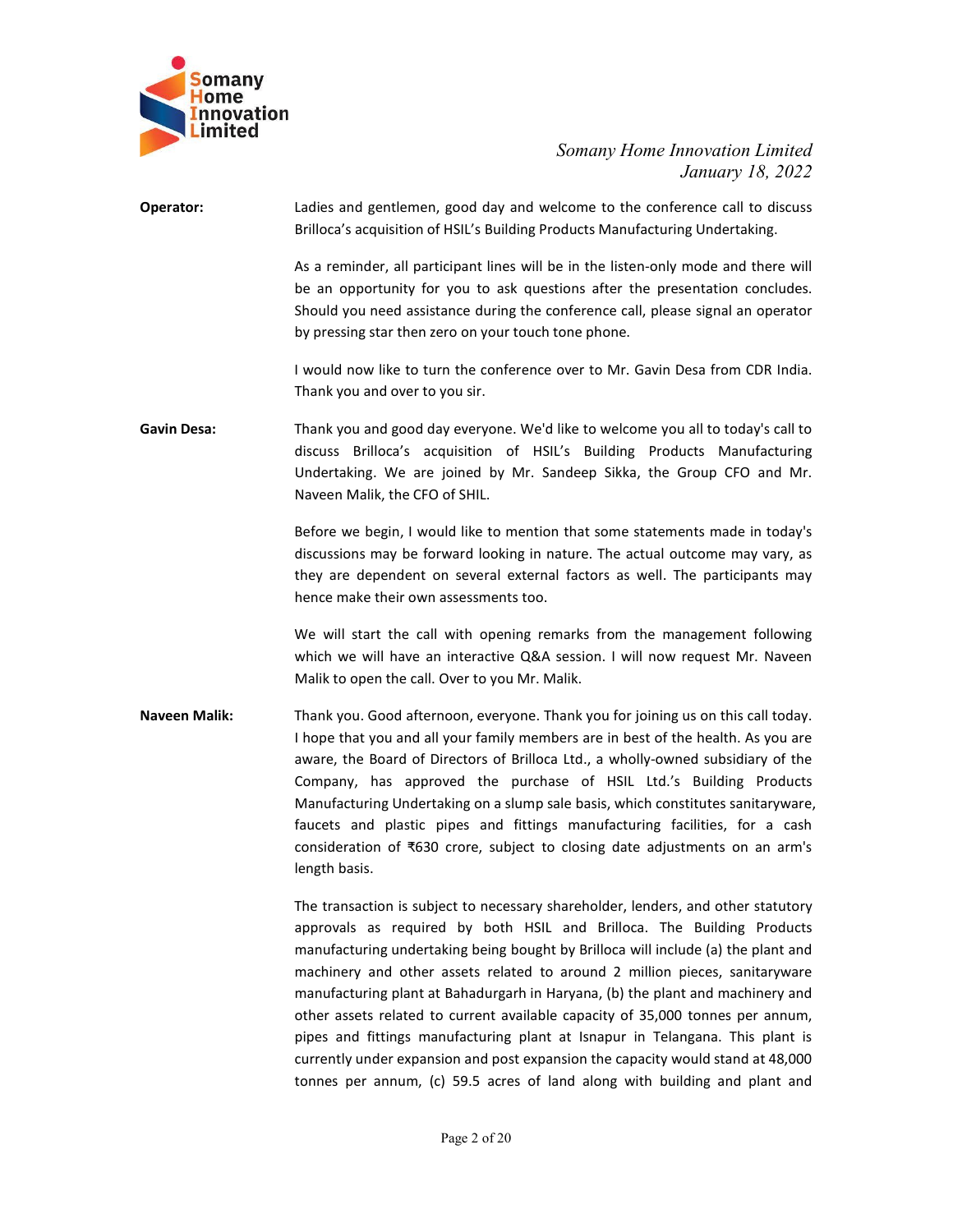

# Somany Home Innovation Limited<br>January 18, 2022<br>Icome to the conference call to discuss<br>Dans Manufacturing Undertaking. nnovation Limited<br>January 18, 2022<br>rence call to discuss<br>ng Undertaking.<br>mode and there will

Somany<br>
Home<br>
Innovation<br>
Limited<br>
Somany Home Innovation Limited<br>
January 18, 2022<br>
Operator:<br>
Ladies and gentlemen, good day and welcome to the conference call to discuss<br>
Brilloca's acquisition of HSIL's Building Produc Somany Home Innovation Limited<br>January 18, 2022<br>Ladies and gentlemen, good day and welcome to the conference call to discuss<br>Brilloca's acquisition of HSIL's Building Products Manufacturing Undertaking.<br>As a reminder, all Somany Home Innovation Limited<br>January 18, 2022<br>Ladies and gentlemen, good day and welcome to the conference call to discuss<br>Brilloca's acquisition of HSIL's Building Products Manufacturing Undertaking.<br>As a reminder, all Somany Home Innovation Limited<br>January 18, 2022<br>Ladies and gentlemen, good day and welcome to the conference call to discuss<br>Brilloca's acquisition of HSIL's Building Products Manufacturing Undertaking.<br>As a reminder, all Somany Home Innovation Limited<br>
January 18, 2022<br>
Brilloca's acquisition of HSIL's Building Products Manufacturing Undertaking.<br>
As a reminder, all participant lines will be in the listen-only mode and there will<br>
be an op Somany Home Innovation Limited<br>January 18, 2022<br>Jadies and gentlemen, good day and welcome to the conference call to discuss<br>Brilloca's acquisition of HSIL's Building Products Manufacturing Undertaking.<br>As a reminder, all Somany Home Innovation Limited<br>
January 18, 2022<br>
Ladies and gentlemen, good day and welcome to the conference call to discuss<br>
Brilloca's acquisition of HSIL's Building Products Manufacturing Undertaking.<br>
As a reminder, Somany Home Innovation Limited<br>
January 18, 2022<br>
Italies and gentlemen, good day and welcome to the conference call to discuss<br>
Brilloca's acquisition of HSIL's Building Products Manufacturing Undertaking.<br>
As a reminder, Somany Home Innovation Limited<br>
January 18, 2022<br>
Eadies and gentlemen, good day and welcome to the conference call to discuss<br>
Brilloca's acquisition of HSIL's Building Products Manufacturing Undertaking.<br>
As a reminder, Somany Home Innovation Limited<br>
January 18, 2022<br>
Ladies and gentlemen, good day and welcome to the conference call to discuss<br>
Brilloca's acquisition of HSIL's Building Products Manufacturing Undertaking.<br>
As a reminder,

Gavin Desa: Thank you and good day everyone. We'd like to welcome you all to today's action of the conference call to discussion brieflicts's acquisition of HSIL's Building Products Manufacturing Undertaking.<br>
As a reminde

Somany Home Innovation Limited<br>
January 18, 2022<br>
Ladies and gentlemen, good day and welcome to the conference call to discuss<br>
Brilloca's acquisition of HSIL's Building Products Manufacturing Undertaking.<br>
As a reminder, Somany Home Innovation Limited<br>
January 18, 2022<br>
Ladies and gentlemen, good day and welcome to the conference call to discuss<br>
Brilloca's acquisition of HSIL's Building Products Manufacturing Undertaking.<br>
As a reminder, January 18, 2022<br>
dadies and gentlemen, good day and welcome to the conference call to discuss<br>
Brilloca's acquisition of HSIL's Building Products Manufacturing Undertaking.<br>
As a reminder, all participant lines will be in Ladies and gentlemen, good day and welcome to the conference call to discuss<br>Brilloca's acquisition of HSIL's Building Products Manufacturing Undertaking.<br>As a reminder, all participant lines will be in the listen-only mod Ladies and gentiemen, good day and welcome to the conference call to discuss<br>
Brilloca's acquisition of ISIL's Building Products Manufacturing Undertaling.<br>
As a reminder, all participant lines will be in the listen-only m As a reminder, all participant lines will be in the listen-only mode and there will<br>be an opportunity for you to ask questions after the presentation concludes.<br>Should you need assistance during the conference call, please As a remunder, all parturapant lines wull be in the listen-only mode and tere will<br>be an opportunity for you to ask questions after the presentation concludes.<br>Should you need assistance during the conference call, please

be an opportunity for you to ask questions atter the presentation concludes.<br>
Should you need assistance during the conference call, please signal an operator<br>
by pressing star then zero on your touch tone phone.<br>
I would by pressing star then zero on your touch tone phone.<br>
I would now like to turn the conference over to Mr. Gavin Desa from CDR India.<br>
Thank you and good day everyone. We'd like to welcome you all to today's call to<br>
discus I would now like to turn the conference over to Mr. Gavin Desa from CDR India.<br>Thank you and over to you sir.<br>
Thank you and good day everyone. We'd like to welcome you all to today's call to<br>
discuss Brilloca's acquisitio I would now like to turn the conterence over to Mr. Gavin Desa from CDK India.<br>Thank you and good day everyone. We'd like to welcome you all to today's call to<br>Thank you and good day everyone. We'd like to welcome you all Ihank you and over to you sir.<br>
Thank you and good day everyone. We'd like to welcome you all to today's call to<br>
discuss Brillocia's acquisition of HSIL's Building Products Manufacturing<br>
Undertaking. We are joined by Mr Thank you and good day everyone. We'd like to welcome you all to today's call to<br>discuss Brilloca's acquisition of HSL's Building Products Manufacturing<br>Undertaking. We are joined by Mr. Sandeep Sikka, the Group CFO and Mr man you are a serieve the small of the Sultaing Products Manufacturing<br>discuss Brilloca's acquisition of HSIL's Building Products Manufacturing<br>Undertaking. We are joined by Mr. Sandeep Sikka, the Group CFO and Mr.<br>Naveen Consideration of ₹630 crore, subject to cheap sikka, the Group CFO and Mr.<br>
Naveen Malik, the CFO of SHIL.<br>
Before we begin, I would like to mention that some statements made in today's<br>
discussions may be forward looking **EXECUTE:** New the Unit of the method in the share of the translation of the method manufacturing inversions may be forward looking in nature. The actual outcome may vary, as differe we begin, I would like to mention that Before we begin, I would like to mention that some statements made in today's<br>discussions may be forward looking in nature. The actual outcome may vary, as<br>they are dependent on several external factors as well. The partic **Exercise of the stand of the many and the many served and the many vary, as discussions may be forward looking in nature. The actual outcome may vary, as they are dependent on several external factors as well. The partic** Check and the restrict that the community in the the seate of the participants may<br>thence make their own assessments too.<br>We will start the call with opening remarks from the management following<br>which we will have an int

meter and the relation of the comparison in the picking the specifical of the specifical work will start the call with opening remarks from the management following which we will abset an interactive Q&A session. I will no the mean than the call with opening remarks from the management following<br>Which We will tare all with opening remarks from the management following<br>Which We will have an interactive Q&A session. I will now request Mr. Nav We will start the call with opening remarks from the management following<br>Malik to open the call. Over to you Mr. Malik.<br>
Malik to open the call. Over to you Mr. Malik .<br>
Thank you. Good afternoon, everyone. Thank you for which we will have an interactive Q&A session. I will now request Mr. Naveen<br>Malik to open the call. Over to you Mr. Malik.<br>
Thank you. Good afternoon, everyone. Thank you for joining us on this call today.<br>
Thank you. Goo Malik to open the call. Over to you Mr. Malik.<br>
Thank you. Good afternoon, everyone. Thank you for joining us on this call today.<br>
I hope that you and all your family members are in best of the health. As you are<br>
aware, t Thank you. Good afternoon, everyone. Thank you for joining us on this call today.<br>
The the tove and all your family members are in best of the health. As you are<br>
aware, the Board of Directors of Brilloca Ltd., a wholly-o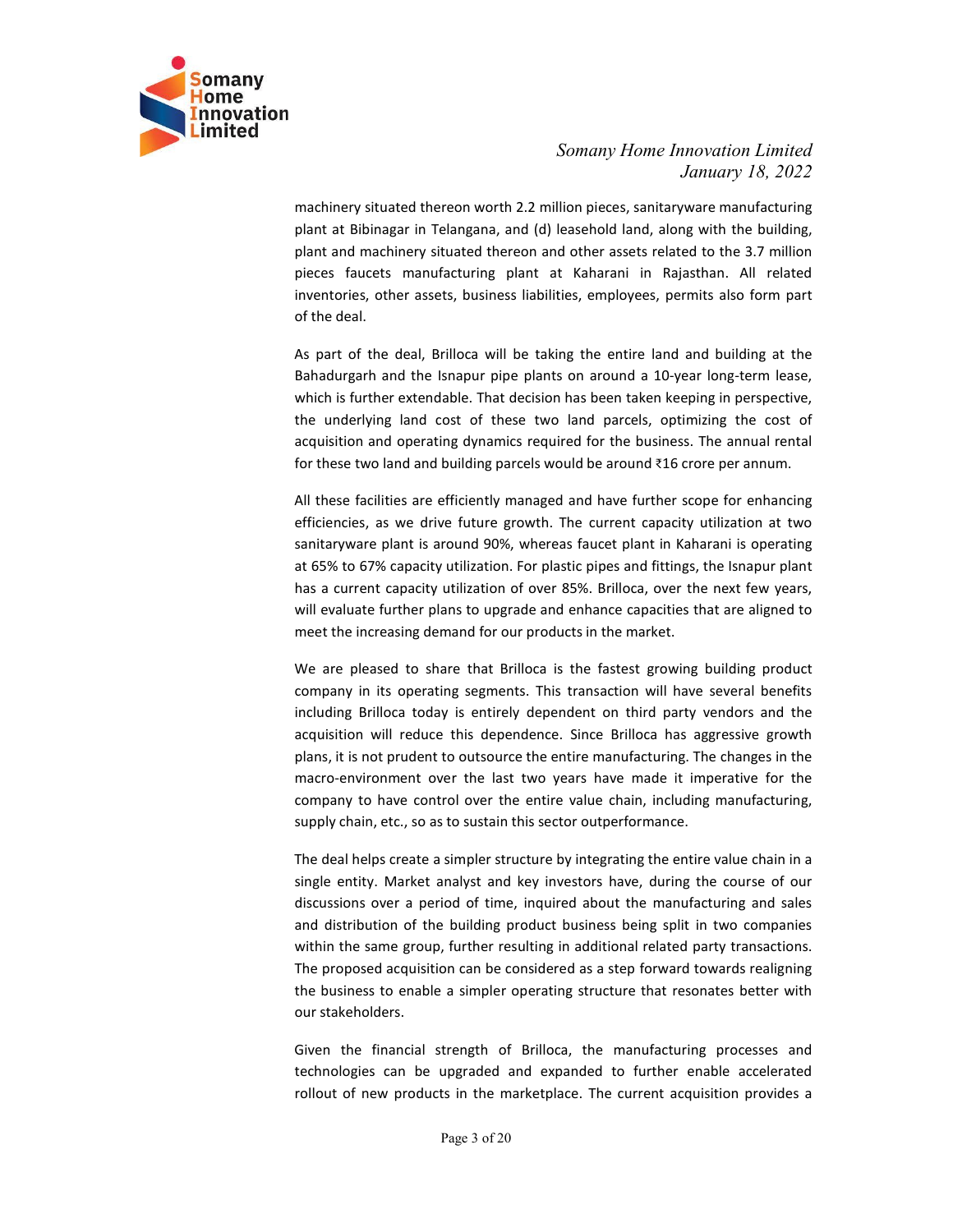

Somany Home Innovation Limited<br>January 18, 2022<br>Ilion pieces, sanitaryware manufacturing<br>leasehold land, along with the building,<br>d other assets related to the 3.7 million nnovation Limited<br>January 18, 2022<br>wware manufacturing<br>ng with the building,<br>ed to the 3.7 million<br>asthan. All related Somany Home Innovation Limited<br>January 18, 2022<br>machinery situated thereon worth 2.2 million pieces, sanitaryware manufacturing<br>plant at Bibinagar in Telangana, and (d) leasehold land, along with the building,<br>pieces fauce Somany Home Innovation Limited<br>January 18, 2022<br>machinery situated thereon worth 2.2 million pieces, sanitaryware manufacturing<br>plant at Bibinagar in Telangana, and (d) leasehold land, along with the building,<br>plant and ma Somany Home Innovation Limited<br>January 18, 2022<br>plant at Bibinagar in Telangana, and (d) leasehold land, along with the building,<br>plant and machinery situated thereon and other assets related to the 3.7 million<br>pieces fauc Somany Home Innovation Limited<br>January 18, 2022<br>machinery situated thereon worth 2.2 million pieces, sanitaryware manufacturing<br>plant at Bibinagar in Telangana, and (d) leasehold land, along with the building,<br>plant and ma Somany Home Innovation Limited<br>January 18, 2022<br>machinery situated thereon worth 2.2 million pieces, sanitary<br>ware manufacturing<br>plant at Bibinagar in Telangana, and (d) leasehold land, along with the building,<br>pieces fauc Somany Home Innovation Limited<br>January 18, 2022<br>machinery situated thereon worth 2.2 million pieces, sanitary<br>ware manufacturing<br>plant and machinery situated thereon and other assets related to the 3.7 million<br>pieces fauce Somany Home Innovation Limited<br>January 18, 2022<br>plant at Bibinagar in Telangana, and (d) leasehold land, along with the building,<br>plant and machinery situated thereon and other assets related to the 3.7 million<br>pieces fauc Somany Home Innovation Limited<br>
January 18, 2022<br>
machinery situated thereon worth 2.2 million pieces, sanitary<br>ware manufacturing<br>
plant and machinery situated thereon and other assets related to the 3.7 million<br>
pieces f Somany Home Innovation Limited<br>
January 18, 2022<br>
machinery situated thereon worth 2.2 million pieces, sanitary<br>
aplant at Bibinagar in Telangana, and (d) leasehold land, along with the building,<br>
plant and machinery situa Somany Home Innovation Limited<br>
Somany Home Innovation Limited<br>
January 18, 2022<br>
plant at Bibinagar in Telangana, and (d) leasehold land, along with the building.<br>
plant and machinery situated thereon and other assets rel Somany Home Innovation Limited<br>
January 18, 2022<br>
machinery situated thereon worth 2.2 million pieces, santaryware manufacturing<br>
plant at Bibinagar in Telangana, and (d) leasehold land, along with the building.<br>
plant and Somany Home Innovation Limited<br>
January 18, 2022<br>
machinery situated thereon worth 2.2 million pieces, sanitaryware manufacturing<br>
plant at Bibinagar in Telangana, and (d) leasehold land, along with the building,<br>
plant Somany Home Innovation Limited<br>
January 18, 2022<br>
plant at Bibinagar in Telangana, and (a) leasehold land, along with the building.<br>
plant and machinery situated thereon and other assets related to the 3.7 million<br>
plant a

Somany Home Innovation Limited<br>January 18, 2022<br>January 18, 2022<br>plant at Bibinagar in Telangana, and (d) leasehold land, along with the building.<br>plant and machinery situated thereon and other assets related to the 3.7 mi solution and monthine and monthine and monthine in the matter of the method in the method in the say are an information and the sase of the state plant and machinery situated thereon and other assets related to the 3.7 mil by the studied thereon worth 2.2 million pieces, sanitavary rot, 2022<br>plant at Bibinagar in Telangana, and (d) leasehold land, along with the building,<br>plant and machinery situated thereon and other assets related to the 3 machinery situated thereon worth 2.2 million pieces, sanitaryware manufacturing<br>plant at Bibinagar in Telangana, and (d) leasehold land, along with the building.<br>plant and machinery situated thereon and other assets relate plant at Bibinagar in Telangana, and (d) leasehold land, along with the building,<br>plant and machinery stiutated thereon and other assets related to the 3.7 million<br>pieces functers manufacturing plant at Kaharani in Rajasth plant and machinery situated thereon and other assets related to the 3.7 million<br>pieces faucets manufacturing plant at Kaharani in Rajasthan. All related<br>inventories, other assets, business liabilities, employees, permits pleared content methanon and the share with the method of the player of the method of the method of the method of the deal, Brilloca will be taking the entire land and building at the Bahadurgarh and the Isnapur pipe plant of the deal.<br>
As part of the deal, Brilloca will be taking the entire land and building at the<br>
Bahadurgarh and the Isnapur pipe plants on around a 10-year long-term lease,<br>
which is further extendable. That decision has b

of the deal, Brilloca will be taking the entire land and building at the<br>Ashartor of the deal, Brilloca will be taking the netire land a 10-year long-term lease,<br>which is further extendable. That decision has been taken ke As part of the deal, Brilloca will be taking the entire land and building at the Bahadurgarh and the lsnapur pipe plants on around a 10-year long-tem lease, which is further extendable. That decision has been taken keeping Bahadurgarh and the Isnapur pipe plants on around a 10-year long-term lease, which is further extendable. That decision has been taken keeping in perspective, the underlying land cost of these two land parcels, optimizing which is further extendable. That decision has been taken keeping in perspective,<br>the underlying land cost of these two land parecis, o phimizing the cost of<br>acquisition and operating dynamics required for the business. Th the underlying land cost of these two land parcels, optimizing the cost of<br>acquisition and operating dynamics required for the business. The annual rental<br>for these two land abiding pareles would be around 316 crore per an acquisition and operating dynamics required for the business. The annual rental<br>for these two land and building parcels would be around 216 crore per annum.<br>All these facilities are efficiently managed and have further sco Fill these facilities are efficiently managed and have further scope for enhancing<br>efficiencies, as we drive future growth. The current capacity utilization at two<br>sanitaryware plant is around 90%, whereas faucet plant in All these facilities are efficiently managed and have further scope for enhancing<br>efficiencies, as we drive further growth. The current capacity utilization at two<br>sanitaryware plant is around 90%, whereas faucet plant in efficiencies, as we drive future growth. The current capacity utilization at two<br>sanitaryware plant is around 90%, whereas faucte plant in Kaharani is operating<br>at 65% to 67% capacity utilization. For plastic pieges and fi sanitaryware plant is around 90%, whereas faucet plant in Kaharani is operating<br>at 65% to 67% capacity utilization. For plastic pipes and fittings, the Isnapur plant<br>has a current capacity utilization of over 85%. Brilloca at 65% to 67% capacity utilization. For plastic pipes and fittings, the Isnapur plant<br>has a current capacity utilization of over 85%. Brillioca, over the next few years,<br>will evaluate further plans to upgrade and enhance c has a current capacity utilization of over 85%. Brilloca, over the next few years,<br>will evaluate further plans to upgrade and enhance capacities that are aligned to<br>meet the increasing demand for our products in the market will evaluate further plans to upgrade and enhance capacities that are aligned to<br>meet the increasing demand for our products in the market.<br>We are pleased to share that Brilloca is the fastest growing building product<br>com meet the increasing demand for our products in the market.<br>We are pleased to share that Brilloca is the fastest growing building product<br>company in its operating segments. This transaction will have several benefits<br>includ We are pleased to share that Brilloca is the fastest growing building product<br>company in its operating segments. Thii stransation will have several benefits<br>including Brilloca today is entirely dependent on third party ven

company in its operating segments. This transaction will have several benefits including Brilloca today is entirely dependent on third party endors and the incurdistic to discussed and the last two vears have made it imper including Brilloca today is entirely dependent on third party vendors and the acquisition will reducte this dependence. Since Brilloca has aggressive growth plans, it is not prudent to outsource the entire manufacturing. T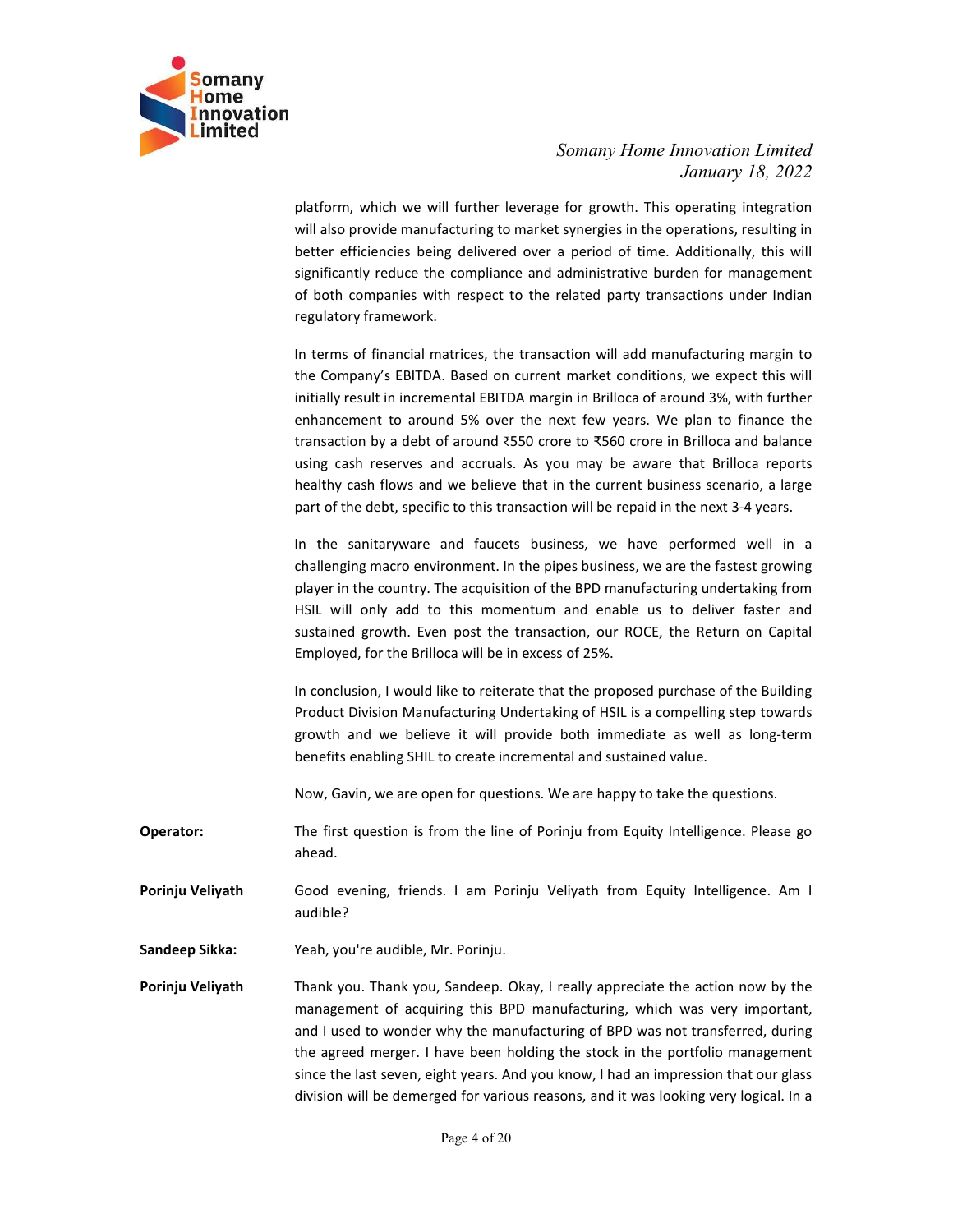

Somany Home Innovation Limited<br>January 18, 2022<br>For growth. This operating integration<br>t synergies in the operations, resulting in<br>a period of time. Additionally, this will nnovation Limited<br>January 18, 2022<br>pperating integration<br>erations, resulting in<br>Additionally, this will<br>len for management Somany Home Innovation Limited<br>January 18, 2022<br>platform, which we will further leverage for growth. This operating integration<br>will also provide manufacturing to market synergies in the operations, resulting in<br>better eff Somany Home Innovation Limited<br>January 18, 2022<br>platform, which we will further leverage for growth. This operating integration<br>will also provide manufacturing to market synergies in the operations, resulting in<br>better eff Somany Home Innovation Limited<br>January 18, 2022<br>platform, which we will further leverage for growth. This operating integration<br>will also provide manufacturing to market synergies in the operations, resulting in<br>better eff Somany Home Innovation Limited<br>January 18, 2022<br>platform, which we will further leverage for growth. This operating integration<br>will also provide manufacturing to market synergies in the operations, resulting in<br>better eff Somany Home Innovation Limited<br>January 18, 2022<br>January 18, 2022<br>Whilalso provide manufacturing to market synergies in the operations, resulting in<br>better efficiencies being delivered over a period of time. Additionally, t Somany Home Innovation Limited<br>January 18, 2022<br>January 18, 2022<br>platform, which we will further leverage for growth. This operating integration<br>will also provide manufacturing to market synergies in the operations, result Somany Home Innovation Limited<br>January 18, 2022<br>January 18, 2022<br>Will also provide manufacturing to market synergies in the operations, resulting in<br>better efficiencies being delivered over a period of time. Additionally,

Somany Home Innovation Limited<br>
January 18, 2022<br>
platform, which we will further leverage for growth. This operating integration<br>
will also provide manufacturing to market synergies in the operations, resulting in<br>
better Somany Home Innovation Limited<br>
January 18, 2022<br>
January 18, 2022<br>
January 18, 2022<br>
Sulting in the solution of metals of the compliance and administrative burden for management<br>
significantly reduce the compliance and ad Somany Home Innovation Limited<br>January 18, 2022<br>January 18, 2022<br>will also provide manufacturing to market synergies in the operations, resulting in<br>better efficiencies being delivered over a period of time. Additionally, Somany Home Innovation Limited<br>
I January 18, 2022<br>
platform, which we will further leverage for growth. This operating integration<br>
will also provide manufacturing to market synergies in the operation, resulting in<br>
bette Somany Home Innovation Limited<br>January 18, 2022<br>Jahtform, which we will further leverage for growth. This operating integration<br>will also provide manufacturing to market synergies in the operations, resulting in<br>better ef Somany Home Innovation Limited<br>January 18, 2022<br>Jaltform, which we will further leverage for growth. This operating integration<br>will also provide manufacturing to market synergies in the operations, resulting in<br>belter eff Somany Home Innovation Limited<br>January 18, 2022<br>will also provide manufacturing to market synergies in the operations, resulting in<br>better efficiencies being delivered over a period of time. Additionally, this will<br>signifi Sommary *Liome* Informary *Liome* Information *Liomitorial*<br>Information *Liomitorial*<br>Interaction and Faultary 18, 2022<br>Insternal also provide manufacturing to market synergies in the operations, resulting in<br>better effici platform, which we will further leverage for growth. This operation will also provide manufacturing to market synergies in the operations, resulting in better efficiencies being delivered over a period of time. Additional platform, which we will further leverage for growth. This operating integration will also provide manufacturing to market synergies in the operations, resulting in beheter efficiencies being delivered over a period of time will also provide manufacturing to market synergies in the operations, resulting in<br>better efficiencies being delivered over a period of time. Additionally, this will<br>isginificantly reduce the compliance and administrative better efficiencies being delivered over a period of time. Additionally, this will<br>significantly reduce the compliance and administrative burden for management<br>of both companies with respect to the related party transactio significantly reduce the compliance and administrative burden for management<br>of both companies with respect to the related party transactions under Indian<br>the terms of financial matrices, the transaction will add manufactu In terms of minimals and the reacted purchase of the Building many interest and the Company's EBITDA. Based on current market conditions, we expect this will initially result in incremental EBITDA margin in Brilloca of aro In terms of financial matrices, the transaction will add manufacturing margin to<br>the Company's EBITDA. Based on current market conditions, we expect this will<br>initially result in incremental EBITDA margin in Brilloca of ar In terms of financial matrices, the transaction will add manufacturing margin to<br>the Company's EBITDA. Based on current market conditions, we expect this will<br>initially result in incremental EBITDA margin in Brilloca of ar the Company's EBITDA. Based on current market conditions, we expect this will initially result in incremental EBITDA margin in Brillico a draound 3%, with further enhancement to around 5% over the next few years. We plan t

meany creates the nearct that the real standard means the question of the meat few years. We plan to finance the transaction by a debt of around 350 crore to ₹560 crore in Brilloca and balance transaction by a debt of arou transaction by a detect of action and bottome to Solutione in Brilloca and basineses and actions and actions and the current business scenario, a large part of the debt, specific to this transaction will be repaid in the n part of the debt, specific to this transaction will be repaid in the next 3-4 years.<br>
In the sanitraryware and faucets business, we have performed well in a<br>
challenging marco environment. In the pipes business, we are the

- ahead.
- audible?
- 
- challenging macro environment. In the pipes business, we are the fastest growing<br>player in the country. The acquisition of the BPD manufacturing undertaking from<br>HSIL will only add to this momentum and enable us to deliver FISIL will only add to this momentum and enable us to deliver faster and<br>
sustained growth. Even post the transaction, our ROCE, the Return on Capital<br>
Employed, for the Brilloca will be in excess of 25%.<br>
In conclusion, I sustained growth. Even post the transaction, our ROCE, the Return on Capital<br>Employed, for the Brilloca will be in excess of 25%.<br>In conclusion, I would like to reiterate that the proposed purchase of the Building<br>Product Employed, for the Brilloca will be in excess of 25%.<br>
In conclusion, I would like to reiterate that the proposed purchase of the Building<br>
Product Division Manufacturing Undertaking of HSIL is a compelling step towards<br>
gr In conclusion, I would like to reiterate that the proposed purchase of the Building<br>Product Division Manufacturing Undertaking of HSIL is a compelling step towards<br>growth and we believe it will provide both immediate as we In conclusion, I would like to reiterate that the proposed purchase of the Building<br>Product Division Manufacturing Undertaking of HSLI is a compelling step towards<br>growth and we believe it will provide both immediate as we Product Division Manufacturing Undertaking of HSIL is a compelling step towards<br>growth and we believe it will provide both inmediate as well as long-term<br>benefits enabling SHIL to create incremental and sustained value.<br>No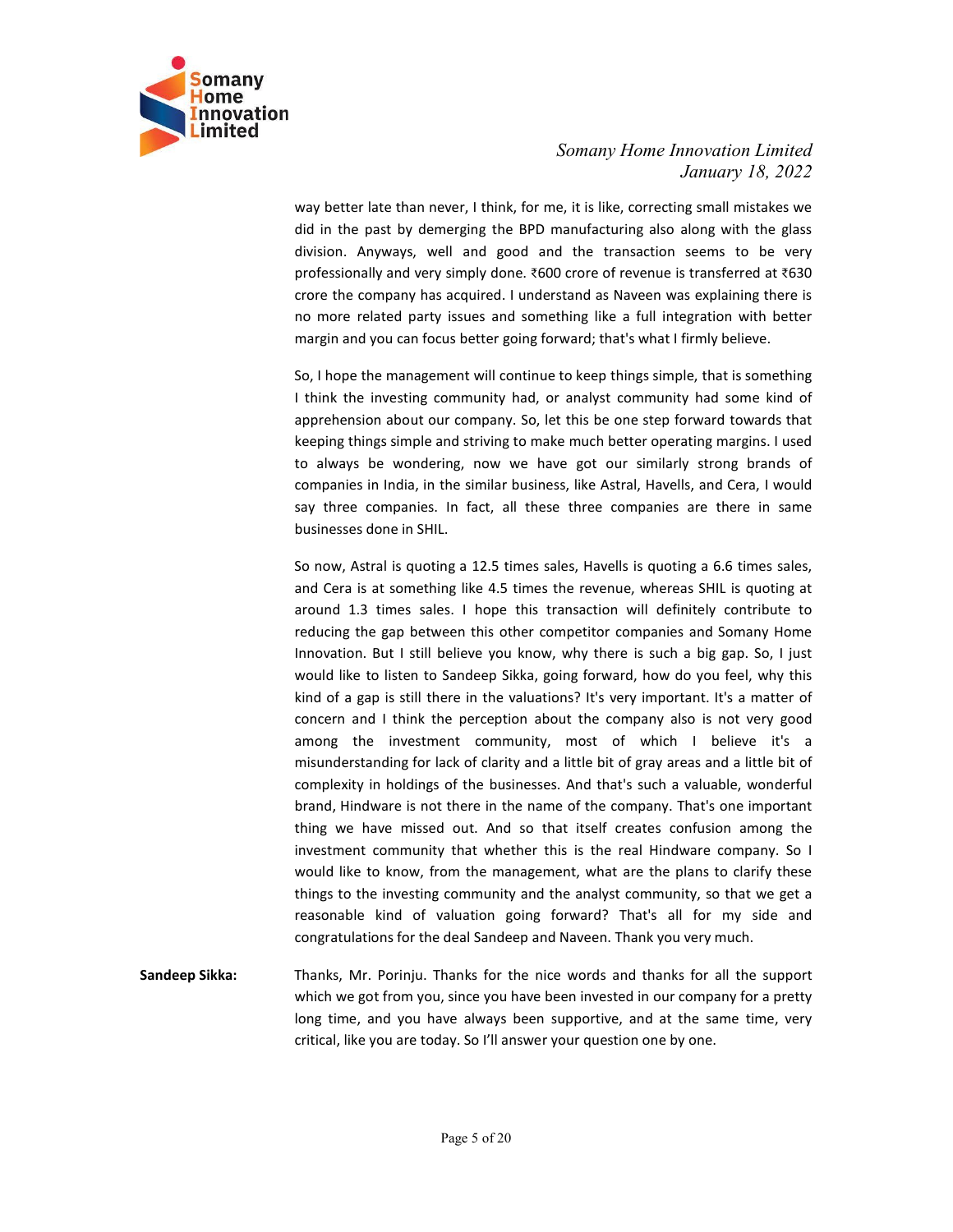

Somany Home Innovation Limited<br>January 18, 2022<br>e, it is like, correcting small mistakes we<br>nanufacturing also along with the glass<br>d the transaction seems to be verv unovation Limited<br>January 18, 2022<br>ng small mistakes we<br>along with the glass<br>seems to be very<br>stransferred at ₹630 Somany Home Innovation Limited<br>January 18, 2022<br>way better late than never, I think, for me, it is like, correcting small mistakes we<br>did in the past by demerging the BPD manufacturing also along with the glass<br>professiona Somany Home Innovation Limited<br>January 18, 2022<br>Way better late than never, I think, for me, it is like, correcting small mistakes we<br>did in the past by demerging the BPD manufacturing also along with the glass<br>division. A Somany Home Innovation Limited<br>January 18, 2022<br>way better late than never, I think, for me, it is like, correcting small mistakes we<br>did in the past by demerging the BPD manufacturing also along with the glass<br>division. A Somany Home Innovation Limited<br>January 18, 2022<br>Way better late than never, I think, for me, it is like, correcting small mistakes we<br>did in the past by demerging the BPD manufacturing also along with the glass<br>division. Somany Home Innovation Limited<br>January 18, 2022<br>January 18, 2022<br>dia in the past by demerging the BPD manufacturing also along with the glass<br>division. Anyways, well and good and the transaction seems to be very<br>profession Somany Home Innovation Limited<br>January 18, 2022<br>did in the past by demerging the BPD manufacturing also along with the glass<br>division. Anyways, well and good and the transaction seems to be very<br>professionally and very sim Somany Home Innovation Limited<br>January 18, 2022<br>did in the past by demerging the BPD manifacturing also along with the glass<br>division. Anyways, well and good and the transaction seems to be very<br>professionally and very sim Somany Home Innovation Limited<br>
January 18, 2022<br>
way better late than never, I think, for me, it is like, correcting small mistakes we<br>
did in the past by demerging the BPD manufacturing also along with the glass<br>
divisio Somany Home Innovation Limited<br>
January 18, 2022<br>
January 18, 2022<br>
did in the past by demerging the BPD manufacturing also along with the glass<br>
division. Anyways, well and good and the transaction seems to be very<br>
profe

Somany Home Innovation Limited<br>
Somany Home Innovation Limited<br>
January 18, 2022<br>
did in the past by demerging the BPD manufacturing also along with the glass<br>
did in the past by demerging the BPD manufacturing also along Somany Home Innovation Limited<br>
January 18, 2022<br>
way better late than never, I think, for me, it is like, correcting small mistakes we<br>
did in the past by demerging the BPD manufacturing also along with the glass<br>
divisio Somany Home Innovation Limited<br>
January 18, 2022<br>
way better late than never, I think, for me, it is like, correcting small mistakes we<br>
did in the past by demerging the BPD manufacturing also along with the glass<br>
divisio Somany Home Innovation Limited<br>
January 18, 2022<br>
did in the past by demerging the BPD manufacturing also along with the glass<br>
did in the past by demerging the BPD manufacturing also along with the glass<br>
division. Anyway Somany Home Innovation Limited<br>January 18, 2022<br>did in the past by demerging the BPD manufacturing atls all mitatakes we<br>did in the past by demerging the BPD manufacturing also along with the glass<br>division. Anyways, well Somany Home Innovation Limited<br>
January 18, 2022<br>
did in the past by demerging the BPD manufacturing also all mistakes we<br>
did in the past by demerging the BPD manufacturing also alloy with the glass<br>
division. Anyways, we or way better late than never, I think, for me, it is like, correcting small mistakes we<br>did in the past by demerging the BPD manufacturing also along with the glass<br>division. Anyways, well and good and the transaction see way better late than never, I think, for me, it is like, correcting small mistakes we<br>did in the past by denreging the BPD manufacturing also along with the glass<br>physicsion. Anyways, well and good and the transaction seem did in the past by demerging the BPD manufacturing also along with the glass<br>division. Anyways, well and good and the transaction serems to be very<br>professionally and very simply done. 2600 crore of revenue is transferred

division. Anyways, well and good and the transaction seems to be very<br>profersionally and very simply done. 8:600 crore of revenue is transferred at 8:500<br>crore the company has acquired. I understand as Naveen was explainin professionally and very simply done. T600 crore of revenue is transferred at T630<br>coror the company has acquired. I understand as Naveen was explaining lithere is<br>no more related party issues and something like a full inte crore the company has acquired. I understand as Naveen was explaining there is<br>no more related party issues and something like a full integration with better<br>margin and you can focus better going forward; that's what I fir no more related party issues and something like a full integration with better<br>margin and you can focus better going forward; that's what I firmly believe.<br>So, I hope the management will continue to keep things simple, tha margin and you can focus better going forward; that's what I firmly believe.<br>So, I hope the management will continue to keep things simple, that is something<br>think the investing community had, or analyst community had some So, I hope the management will continue to keep things simple, that is something<br>
11 think the investing community had, or analyst community had some kind of<br>
apprehension about our company. So, let this be one step forwar So, I hope the management will continue to keep things simple, that is something<br>
a think the investing community had, or analyst community had some kind of<br>
apprehension about our company. So, let this be one step forward I think the investing community had, or analyst community had some kind of<br>apprehension about our company. So, let this be one sete forward towards that<br>keeping things simple and striving to make much better operating marg apprehension about our company. So, let this be one step forward towards that<br>
keeping things simple and striving to make much better operating margins. I used<br>
to always be wondering, now we have got our similarly strong keeping things simple and striving to make much better operating margins. I used<br>to chavys be wondering, now ve have got our similarly strong brands of<br>companies in India, in the similar business, like Astral, Havells, and to always be wondering, now we have got our similarly strong brands of<br>companies in India, in the similar business, like Astral, Havells, and Cera, I would<br>say three companies. In fact, all these three companies are there companies in India, in the similar business, like Astral, Havells, and Cera, I would<br>say three companies. In fact, all these three companies are there in same<br>businesses done in SHIL.<br>So now, Astral is quoting a 12.5 times say three companies. In fact, all these three companies are there in same<br>businesses done in SHIL.<br>So now, Astral is quoting a 12.5 times sales, Havells is quoting a 6.6 times sales,<br>and Cera is at something like 4.5 times businesses done in SHIL.<br>So now, Astral is quotting a 12.5 times sales, Havells is quotting a 6.6 times sales,<br>and Cera is at something like 4.5 times the revenue, whereas SHL is quoting at<br>around 1.3 times sales. I hope t So now, Astral is quoting a 12.5 times sales, Havells is quoting a 6.6 times sales,<br>and Cera is at something like 4.5 times the revenue, whereas SHIL is quoting at<br>around 1.3 times sales. 1 hope this transaction will defin and Crae is at something like 4.5 times the revenue, whereas SHII. Is quoting at the steamed when enducing the gap between this other competitor companies and Somany Home Innovation. But I still believe you know, why ther around 1.3 times sales. I hope this transaction will definitely contribute to reducting the gap betwen this other competitor companies and Somany Home Innovation. But I still believe you know, why there is such a big gap. reducing the gap between this other competitor companies and Somany Home<br>
Innovation. But I still believe you know, why there is such a big gap. So, I just<br>
Involul like to listen to Sandeep Sikka, going forward, how do yo Innovation. But I still believe you know, why there is such a big gap. So, I just<br>would like to listen to Sandep Sikka, going forward, how do you feel, why this<br>kind of a gap is still there in the valuations? It's very imp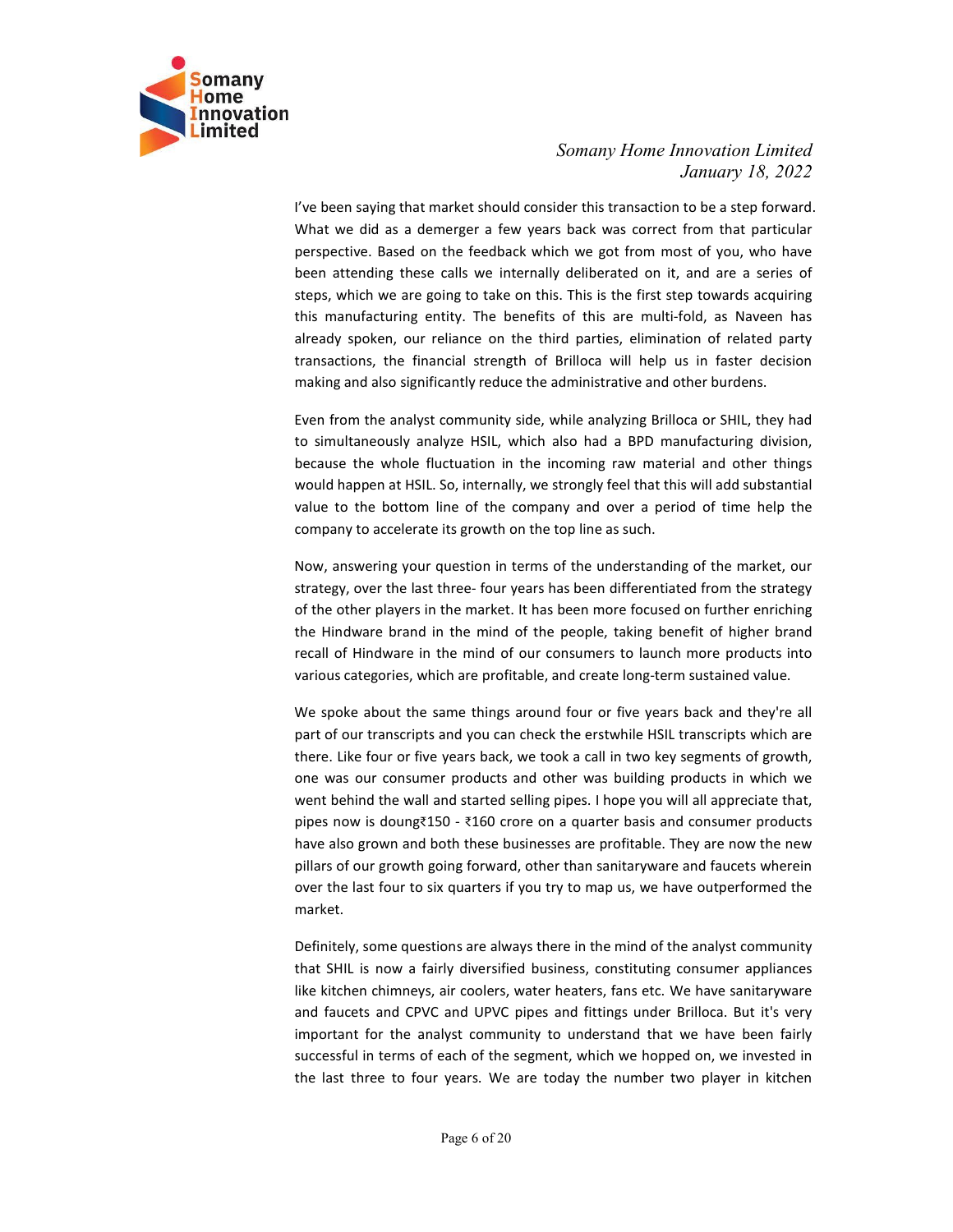

Somany Home Innovation Limited<br>January 18, 2022<br>der this transaction to be a step forward.<br>s back was correct from that particular<br>ch we got from most of you, who have movation Limited<br>January 18, 2022<br>to be a step forward.<br>from that particular<br>st of you, who have<br>and are a series of Somany Home Innovation Limited<br>January 18, 2022<br>We been saying that market should consider this transaction to be a step forward.<br>What we did as a demerger a few years back was correct from that particular<br>perspective. Bas Somany Home Innovation Limited<br>January 18, 2022<br>We been saying that market should consider this transaction to be a step forward.<br>What we did as a demerger a few years back was correct from that particular<br>perspective. Bas Somany Home Innovation Limited<br>January 18, 2022<br>We been saying that market should consider this transaction to be a step forward.<br>What we did as a demerger a few years back was correct from that particular<br>perspective. Bas Somany Home Innovation Limited<br>January 18, 2022<br>We been saying that market should consider this transaction to be a step forward.<br>What we did as a demerger a few years back was correct from that particular<br>perspective. Bas Somany Home Innovation Limited<br>January 18, 2022<br>Ve been saying that market should consider this transaction to be a step forward.<br>What we did as a demerger a few years back was correct from that particular<br>perspective. Bas Somany Home Innovation Limited<br>January 18, 2022<br>January 18, 2022<br>What we did as a demerger a few years back was correct from that particular<br>perspective. Based on the feedback which we got from most of you, who have<br>been a Somany Home Innovation Limited<br>January 18, 2022<br>We been saying that market should consider this transaction to be a step forward.<br>What we did as a demerger a few years back was correct from that particular<br>perspective. Bas Somany Home Innovation Limited<br>January 18, 2022<br>U've been saying that market should consider this transaction to be a step forward.<br>What we did as a demerger a few years back was correct from that particular<br>perspective. B Somany Home Innovation Limited<br>January 18, 2022<br>Urve been saying that market should consider this transaction to be a step forward.<br>What we did as a demerger a few years back was correct from that particular<br>perspective. B Somany Home Innovation Limited<br>
Somany Home Innovation Limited<br>
January 18, 2022<br>
What we did as a demerger a few years back was correct from that particular<br>
perspective. Based on the feedback which we got from most of yo Somany Home Innovation Limited<br>
January 18, 2022<br>
The been saying that market should consider this transaction to be a step forward.<br>
What we did as a demerger a few years back was correct from that particular<br>
perspective Somany Home Innovation Limited<br>January 18, 2022<br>Urve been saying that market should consider this transaction to be a step forward.<br>What we did as a demerger a few years back was correct from that particular<br>perspective. B Somany Home Innovation Limited<br>
January 18, 2022<br>
What we did as a demerger a few years back was correct from that particular<br>
What we did as a demerger a few years back was correct from that particular<br>
perspective. Based Somany Home Innovation Limited<br>January 18, 2022<br>What we did as a demerger a few years back was correct from that particular<br>perspective. Based on the feedback which we got from most of you, who have<br>been attending these ca Somany Home Innovation Limited<br>
January 18, 2022<br>
Vive been saying that market should consider this transaction to be a step forward.<br>
What we did as a demerger a few years back was correct from that particular<br>
perspectiv Vive been saying that market should consider this transaction to be a step forward.<br>What we did as a demerger a few years back was correct from that particular<br>perspective. Based on the feedback which we got from most of y I've been saying that market should consider this transaction to be a step forward.<br>What we did as a demerger a few years back was correct from that particular<br>perspective. Based on the feedback which we got from most of y What we did as a demerger a few years back was correct from that particular<br>perspective. Based on the feedback which we got from most of you, who have<br>been attending these calls we internally deliberated on it, and are a s perspective. Based on the feedback which we got from most of you, who have<br>been attending these calls we internally deiliberated on it, and are a series of<br>steps, which we are going to take on this. This is the first step been attending these calls we internally deliberated on it, and are a series of<br>steps, which we are going to take on this. This is the first step towards acquiring<br>this manufacturing entity. The benefits of this are multi-

steps, which we are going to take on this. This is the first step towards acquiring<br>this manufacturing entity. The benefits of this are multi-fold, as Naveen has<br>already spoken, our reliance on the third parties, eliminati and the spoke about the same that is of the match was the match was the match with the spins around the spins around for the same that diate apply transactions, the financial strength of Brilloca will help us in faster dec

entern, or the many present with the many present with the many intransactions, the financial strength of Brilloca will help us in faster decision making and also significantly reduce the administrative and other burdens.<br> there. Like four transcription of the members of the members of the members of the members.<br>The four or five parameters and the parameters of the burdens.<br>Even from the analyst community side, while analyzing Brilloca or S mething and the anyintentially received withe analying Brilloca or SHIL, they had<br>to simultaneously analyze HSIL, which also had a BPD manufacturing division,<br>because the whole fluctuation in the incoming raw material and Even from the analyst community side, while analyzing Brilloca or SHIL, they had to simultaneously analyze HSIL, which also had a BPD manufacturing division, because the whole fluctuation in the incoming raw material and o to simultaneously analyze HSIL, which also had a BPD manufacturing division,<br>because the whole fluctuation in the incoming raw material and other things<br>would happen at HSIL. So, internally, we strongly feel that this will because the whole fluctuation in the incoming raw material and other things<br>would happen at HSIL. So, internally, we strongly feel that this will add substantial<br>value to the bottom line of the company and over a period of would happen at HSIL. So, internally, we strongly feel that this will add substantial<br>value to the bottom line of the company and over a period of time help the<br>company to accelerate its growth on the top line as such.<br>
No value to the bottom line of the company and over a period of time help the<br>company to accelerate its growth on the top line as such,<br>Now, answering your question in terms of the understanding of the market, our<br>strategy, o market. Now, answering your question in terms of the understanding of the market, our<br>strategy, over the last three- four years has been differentiated from the strategy<br>of the other players in the mind of the people, taking benef strategy, over the last three- four years has been differentiated from the strategy<br>of the other players in the market. It has been more focused on further enriching<br>the Hindware brand in the mind of the people, taking ben of the other players in the market. It has been more focused on further enriching<br>the Hindware brand in the mind of the people, taking benefit of higher brand<br>recall of Hindware in the mind of our consumers to launch more the Hindware brand in the mind of the people, taking benefit of higher brand creal<br>teration of Hindware in the mind of our consumers to launch more products into<br>various categories, which are profitable, and create long-te recall of Hindware in the mind of our consumers to launch more products into<br>various categories, which are profitable, and create long-term sustained value.<br>We spoke about the same things around four or five years back and various categories, which are profitable, and create long-term sustained value.<br>We spoke about the same things around four or five years back and they're all<br>part of our transcripts and you can check the erstwhile HSIL tra We spoke about the same things around four or five years back and they're all<br>part of our transcripts and you can check the erstwhile HSIL transcripts which are<br>there. Like four or five years back, we took a call in two k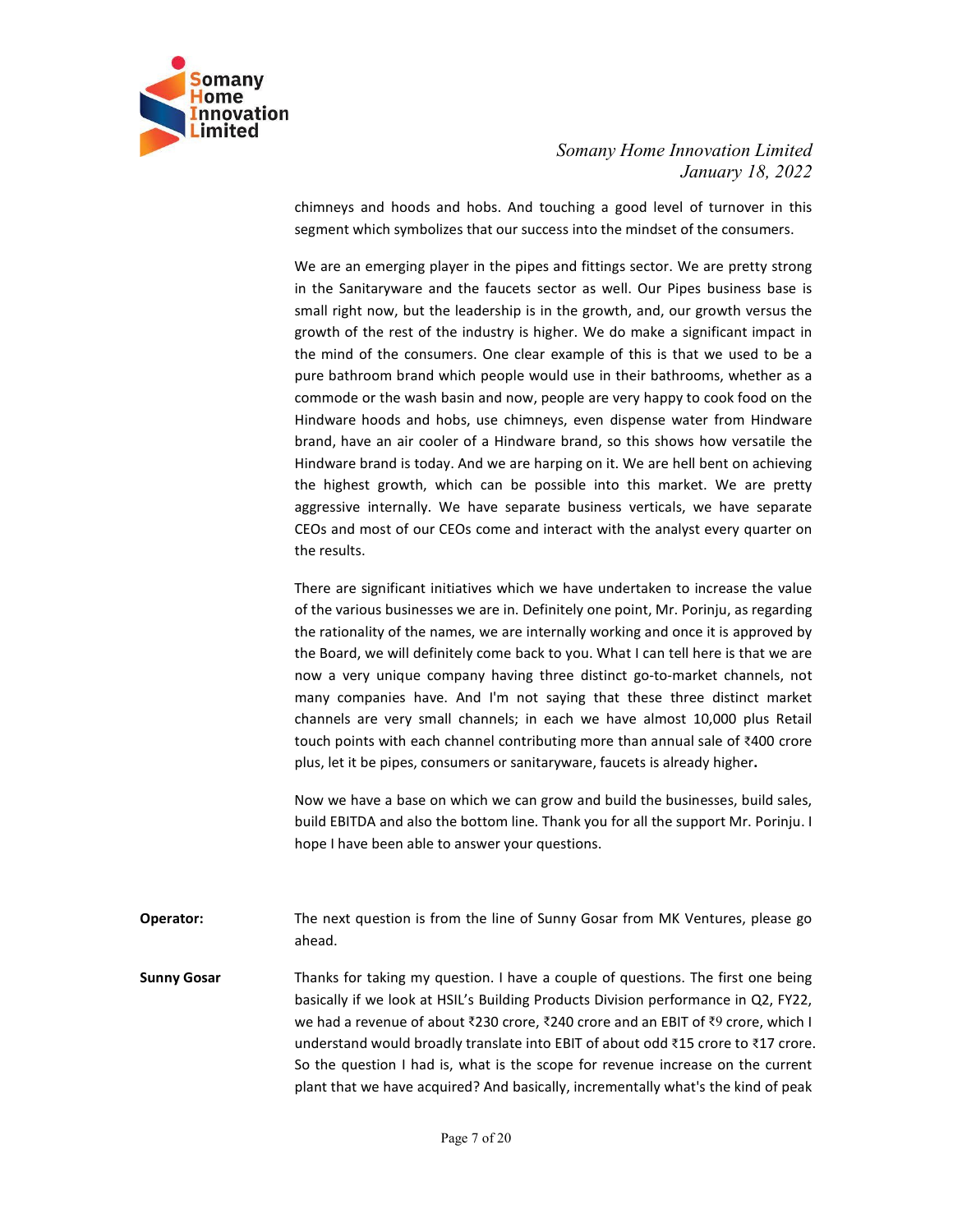

# Somany Home Innovation Limited<br>January 18, 2022<br>uching a good level of turnover in this<br>ss into the mindset of the consumers. nnovation Limited<br>January 18, 2022<br>I of turnover in this<br>of the consumers.<br>Ne are pretty strong

Somany Home Innovation Limited<br>January 18, 2022<br>chimneys and hoods and hobs. And touching a good level of turnover in this<br>segment which symbolizes that our success into the mindset of the consumers.<br>We are an emerging pla Somany Home Innovation Limited<br>January 18, 2022<br>chimneys and hoods and hobs. And touching a good level of turnover in this<br>segment which symbolizes that our success into the mindset of the consumers.<br>We are an emerging pla Somany Home Innovation Limited<br>January 18, 2022<br>Chimneys and hoods and hobs. And touching a good level of turnover in this<br>segment which symbolizes that our success into the mindset of the consumers.<br>We are an emerging pla Somany Home Innovation Limited<br>January 18, 2022<br>Chimneys and hoods and hobs. And touching a good level of turnover in this<br>segment which symbolizes that our success into the mindset of the consumers.<br>We are an emerging pla Somany Home Innovation Limited<br>January 18, 2022<br>Segment which symbolizes that our success into the mindset of the consumers.<br>We are an emerging player in the pipes and fittings sector. We are pretty strong<br>in the Sanitaryw Somany Home Innovation Limited<br>January 18, 2022<br>January 18, 2022<br>Separation Mondal Robs. And touching a good level of turnover in this<br>segment which symbolizes that our success into the mindset of the consumers.<br>We are an Somany Home Innovation Limited<br>January 18, 2022<br>January 18, 2022<br>Segment which symbolizes that our success into the mindset of the consumers.<br>We are an emerging player in the pipes and fittings sector. We are pretty strong Somany Home Innovation Limited<br>
January 18, 2022<br>
chimneys and hoods and hobs. And touching a good level of turnover in this<br>
segment which symbolizes that our success into the mindset of the consumers.<br>
We are an emerging Somany Home Innovation Limited<br>
January 18, 2022<br>
chimneys and hoods and hobs. And touching a good level of turnover in this<br>
segment which symbolizes that our success into the mindset of the consumers.<br>
We are an emerging Somany Home Innovation Limited<br>
Samany Home Innovation Limited<br>
January 18, 2022<br>
segment which symbolizes that our success into the mindset of the consumers.<br>
We are an emerging player in the pipes and fittings sector. We Somany Home Innovation Limited<br>
January 18, 2022<br>
chinneys and hoods and hobs. And touching a good level of turnover in this<br>
segment which symbolizes that our success into the mindset of the consumers.<br>
We are an emerging Somany Home Innovation Limited<br>January 18, 2022<br>Unimneys and hoods and hobs. And touching a good level of turnover in this<br>segment which symbolizes that our success into the mindset of the consumers.<br>We are an emerging pla Somany Home Innovation Limited<br>January 18, 2022<br>Jenimarys and hoods and hobs. And touching a good level of turnover in this<br>segment which symbolizes that our success into the mindset of the consumers.<br>We are an emerging pl Somany Home Innovation Limited<br>January 18, 2022<br>Segment which symbolizes that our success into the mindset of the consumers.<br>We are an emerging player in the pipes and fittings sector. We are pretty strong<br>in the Sanitaryw Somany Home Innovation Limited<br>
January 18, 2022<br>
chimneys and hoods and hobs. And touching a good level of turnover in this<br>
segment which symbolizes that our success into the mindset of the consumers.<br>
We are an emerging January 18, 2022<br>Unimeys and hoods and hobs. And touching a good level of turnover in this<br>segment which symbolizes that our success into the mindset of the consumers.<br>We are an emerging player in the pipes and fittings se chimneys and hoods and hobs. And touching a good level of turnover in this segment which symbolizes that our success into the mindset of the consumers.<br>We are an emerging player in the pipes and fittings sector. We are pre segment which symbolizes that our success into the mindset of the consumers.<br>We are an emerging player in the pipes and fittings sector. We are pretty strong<br>in the Sanitaryware and the faucets sector as well. Our Pipes bu We are an emerging player in the pipes and fittings sector. We are pretty strong<br>in the Sanitaryware and the faucets sector as well. Our Pipes business base is<br>small right now, but the leadership is in the growth, and, our We are an emerging player in the pipes and fittings sector. We are pretty strong<br>in the Sanitaryware and the faucets sector as well. Our Pipes business base is<br>small right now, but the leadership is in the growth, and, our in the Sanitaryware and the faucets sector as well. Our Pipes business base is<br>small right now, but the leadership is in the growth, and, our growth versus the<br>growth of the rest of the industry is higher. We do make a sig small right now, but the leadership is in the growth, and, our growth versus the growth of the rest of the industry is higher. We do make a significant impact in the mind of the consumers. One clear example of this is that growth of the rest of the industry is higher. We do make a significant impact in<br>the mind of the consumers. One clear example of this is that we used to be a<br>pure bathroom brand which people would use in their bathrooms, w the mind of the consumers. One clear example of this is that we used to be a<br>pure bathroom brand which people would use in their bathrooms, whether as a<br>commode or the wash basin and now, people are very happy to cook food

pure bathroom brand which people would use in their bathrooms, whether as a<br>commode or the wash basin and now, people are very happy to cook food on the<br>Hindware hoods and hobs, use chimneys, even dispense water from Hindw brand, have an air cooler of a Hindware brand, so this shows how versatile the<br>Hindware brand is today. And we are harping on it. We are hell bent on achieving<br>the highest growth, which can be possible into this market. We Hindware brand is today. And we are harping on it. We are hell bent on achieving<br>the highest growth, which can be possible into this market. We are pretty<br>eagencisies internally. We have separate business verticals, we hav Uses and mots of our CEOs come and interact with the analyst every quarter on<br>the results.<br>There are significant initiatives which we have undertaken to increase the value<br>of the various businesses we are in. Definitely on Inter are significant initiatives which we have undertaken to increase the value of the various businesses we are in. Definitely one point, Mr. Porinju, as regarding<br>the rationality of the names, we are internally working of the vanous businesses we are in. Deminity one point, Mr. Porinu<sub>l</sub>, as regarding the Board, we will definitely come back to you. What I can tell here is that we are now a very unique company having three distinct go-tothe rationality of the names, we are internality working and once it is approved by<br>the Board, we will definitely come back to you. What I can tell here is that we are<br>now a very unique company having three distinct go-to

ahead.

the board, we will demintely come back to you. What i can tell mere is that we are<br>to way a very unique company having three distinct go-to-market channels, not<br>many companies have. And I'm not saying that these three dis now a very unique company hawing three distinct go-to-market trannels, not<br>many companies have. And I'm not saying that these three distinct market<br>channels are very small channels; in each we have almost 10,000 plus Retai many companes have. And Tm not saying that these three distanct market through that the distant through that the school plus Retail touch points with each channels cincluding more than annual sale of 3400 crore plus, let i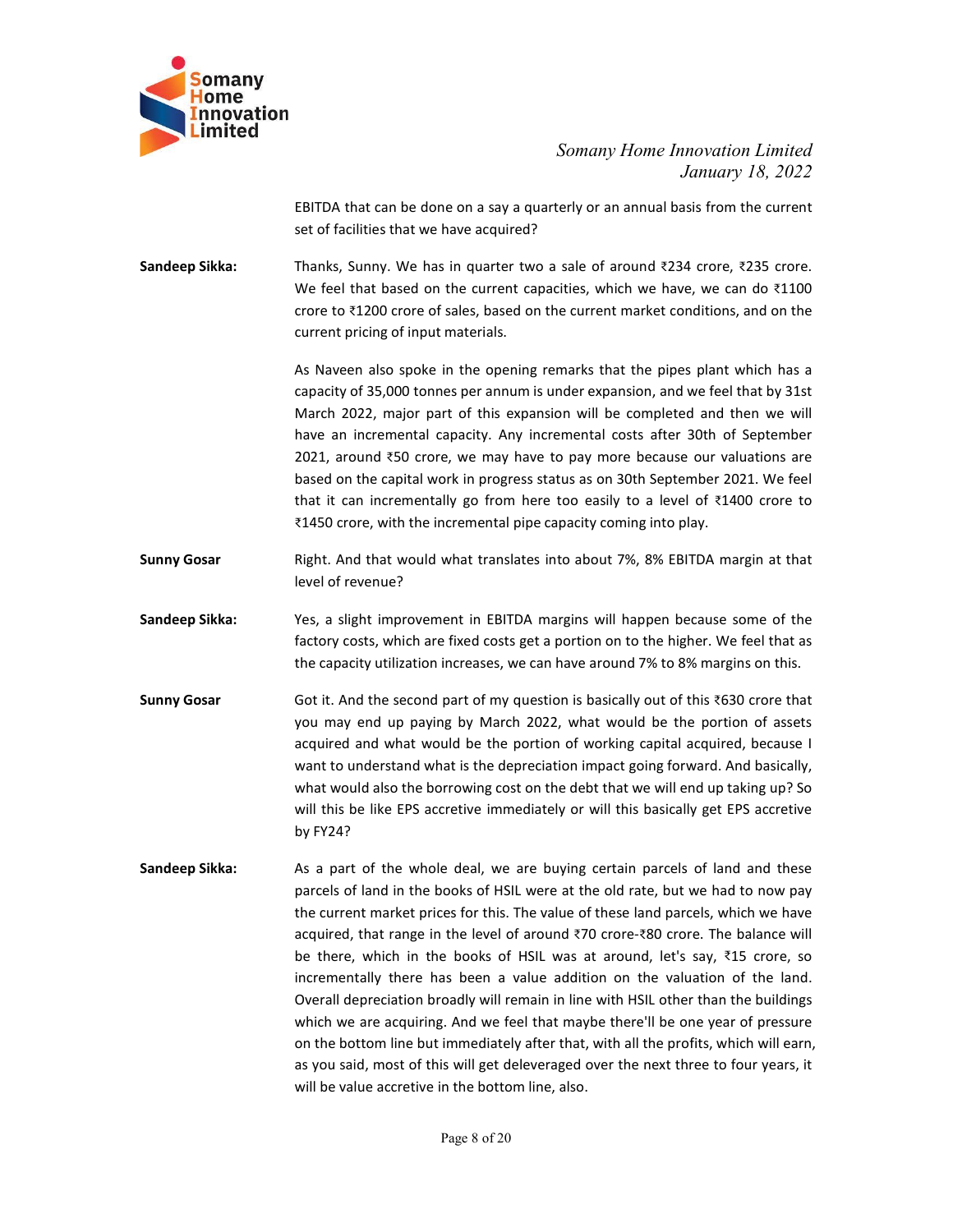

Somany Home Innovation Limited<br>January 18, 2022<br>terly or an annual basis from the current Movation Limited<br>January 18, 2022<br>Assis from the current<br>14 crore, ₹235 crore.

Somany Home Innovation Limited<br>January 18, 2022<br>EBITDA that can be done on a say a quarterly or an annual basis from the current<br>set of facilities that we have acquired?<br>Thanks, Sunny. We has in quarter two a sale of aroun Somany Home Innovation Limited<br>January 18, 2022<br>EBITDA that can be done on a say a quarterly or an annual basis from the current<br>set of facilities that we have acquired?<br>Thanks, Sunny. We has in quarter two a sale of aroun Somany<br>
Somany Home Innovation Limited<br>
Innovation<br>
Innovation<br>
Sandeep Sikka:<br>
Sandeep Sikka:<br>
Thanks, Sunny. We has in quarter two a sale of around ₹234 crore, ₹235 crore.<br>
We feel that based on the current capacities, w Somany Home Innovation Limited<br>January 18, 2022<br>EBITDA that can be done on a say a quarterly or an annual basis from the current<br>set of facilities that we have acquired?<br>Thanks, Sunny. We has in quarter two a sale of arou Somany Home Innovation Limited<br>
Innovation Limited<br>
January 18, 2022<br>
Set of facilities that we have acquired?<br>
Thanks, Sunny. We has in quarter two a sale of around ₹234 crore, ₹235 crore.<br>
We feel that based on the curr

Somany Home Innovation Limited<br>
January 18, 2022<br>
January 18, 2022<br>
EBITDA that can be done on a say a quarterly or an annual basis from the current<br>
set of facilities that we have acquired?<br>
Thanks, Sunny. We has in quart Somany Home Innovation Limited<br>
January 18, 2022<br>
SeBITDA that can be done on a say a quarterly or an annual basis from the current<br>
set of facilities that we have acquired?<br>
Thanks, Sunny. We has in quarter two a sale of Somany Home Innovation Limited<br>January 18, 2022<br>Set of facilities that we have acquired?<br>Thanks, Sunny. We has in quarter two a sale of around ₹234 crore, ₹235 crore.<br>We feel that based on the current capacities, which we Somany Home Innovation Limited<br>
January 18, 2022<br>
Helitties that can be done on a say a quarterly or an annual basis from the current<br>
set of facilities that we have acquired?<br>
Thanks, Sunny. We has in quarter two a sale o Somany Home Innovation Limited<br>January 18, 2022<br>EBITDA that can be done on a say a quarterly or an annual basis from the current<br>set of facilities that we have acquired?<br>Thanks, Sunny. We has in quarter two a sale of aroun Somany Home Innovation Limited<br>
January 18, 2022<br>
2DENTDA that can be done on a say a quarterly or an annual basis from the current<br>
set of facilities that we have acquired?<br>
Thanks, Sunny. We has in quarter two a sale of Somany Home Innovation Limited<br>Insury 18, 2022<br>Set of ficilities that we have a say a quarterly or an annual basis from the current<br>set of ficilities that we have acquired?<br>Thanks, Sunny. We has in quarter two a sale of ar Somany Home Innovation Limited<br>
January 18, 2022<br>
stellar of facilities that we have acquired?<br>
Thanks, Sunny. We has in quarter two a sale of around ₹234 crore, ₹225 crore.<br>
Thanks, Sunny. We has in quarter two a sale of Somany Home Innovation Limited<br>
January 18, 2022<br>
1811TDA that can be done on a say a quarterly or an annual basis from the current<br>
set of facilities that we have acquired?<br>
Thanks, Sunny. We has in quarter two a sale of Sumarapy 18, 2022<br>
Sandeep Sikka:<br>
Sandeep Sikka:<br>
Sandeep Sikka:<br>
Sandeep Sikka:<br>
Sandeep Sikka:<br>
Sandeep Sikka:<br>
Sandeep Sikka:<br>
Sandeep Sikka:<br>
Sandeep Sikka:<br>
And the current reapacties, which we have, we can do 31100 EBITDA that can be done on a say a quarterly or an annual basis from the current<br>set of facilities that we have acquired?<br>Thanks, Sunny. We has in quarter two a sale of around 3234 crore, 3235 crore.<br>We feel that based on Sandeep Sikka: Thanks, Sumw, We has in quarter two a sale of around 2234 crore, 2235 crore.<br>Thanks, Sumw, We has in quarter two a sale of around 2234 crore, 2235 crore.<br>We feel that based on the current capacities, which w Thanks, Sunny. We has in quarter two a sale of around ₹234 crore, ₹235 crore.<br>We feel that based on the current capacities, which we have, we can do ₹1100<br>crore to ₹1200 crore of sales, based on the current market conditio The capacity of the capacity and the current capacities, which we have, we can do ₹1100 crore to ₹1200 crore of sales, based on the current market conditions, and on the current pricing of input materials.<br>
As Naveen also crore to 3200 crore or 53ies, basical mannet market conditions, and on the current pricing of input materials.<br>
As Naveen also spoke in the opening remarks that the piese plant which has a capacity of 35,000 tonnes per an current pricing of input materiais.<br>
As Naveen also spoke in the opening remarks that the pipes plant which has a<br>
capacity of 35,000 tonnes per annum is under expansion, and we feel that by 31st<br>
March 2022, major part of As Naveen also spoke in the opening remarks that the pipes plant which has a<br>capacity of 35,000 tonnes per annum is under expansion, and we feel that by 31st<br>March 2022, major part of this expansion will be completed and t whence word to understand and the experime what is the deparation, and we feel that by 31st March 2022, major part of this expansion will be completed and then we will March 2022, major part of this expansion will be comp

- 
- 
- exercit, or solvective contraction of the borrowing cost on the debt that we will have an incremental capacity. Any incremental costs after 30th of September 2021, are more the based on the capital work in progress status mave an incremental capacity. Any incremental costs after 30th of September<br>2021, around 350 crore, we may have to pay more because our valuations are<br>2021, around 350 crore, we may have to pay more because our valuations Example the methement repoter,  $y_1$ ,  $y_2$ ,  $y_2$ ,  $y_3$ ,  $y_4$ ,  $y_5$ ,  $y_5$ ,  $y_6$ ,  $y_7$ ,  $y_8$ ,  $y_7$ ,  $y_8$ ,  $y_7$ ,  $y_8$ ,  $y_8$  and  $y_9$  and  $y_9$  and  $y_9$  for the capital work in progress status as on 30th Septem besed on the capital work in progress status is on 30th beperance 7.021. We relate that a incremental part of the capacity coming into play.<br>
Sunny Gosar Right. And that would what translates into about 7%, 8% EBITDA margi
- that it can incrementally go from here too easily to a level of t21400 crore to<br>
21450 crore, with the incremental pipe capacity coming into play.<br>
Need of revenue?<br>
Yee, a slight improvement in EBITDA margins will happen extasu crore, with the incremential pipe capacity coming into play.<br>
Right. And that would what translates into about 7%, 8% EBITDA margin at that<br>
level of revenue?<br>
Yes, a slight improvement in EBITDA margins will happen Right. And that would what translates into about 7%, 8% EBITDA margin at that<br>tevel of revenue?<br>Yes, a slight improvement in EBITDA margins will happen because some of the<br>factory costs, which are fixed costs get a portion bevel of revenue?<br>
bevel of revenue?<br>
Yes, a slight improvement in EBITDA margins will happen because some of the<br>
fractory costs, which are fixed costs get a portion on to the higher. We feel that as<br>
the capacity utiliz increment in EBITDA margins will happen because some of the Yes, a slight thropworent in EBITDA margins will happen because some of the factory costs, which are fixed costs get a portion on to the higher. We feel that as t Yes, a slight improvement in EBITDA margins will happen because some of the<br>factory costs, which are fixed costs get a portion on to the higher. We feel that as<br>the capacity utilization increases, we can have around 7% to factory costs, which are fixed costs get a portion on to the higher. We feel that as<br>the capacity utilization increases, we can have around 7% to 8% margins on this.<br>Got it. And the second part of my question is basically the capacity utilization increases, we can have around 7% to 8% margins on this.<br>Got it. And the second part of my question is basically out of this ₹630 crore that<br>you may end up paying by March 2022, what would be the po Got it. And the second part of my question is basically out of this ₹630 crore that<br>you may end up paying by March 2022, what would be the portion of assets<br>acquired and what would be the portion of working capital acquire Got it. And the second part of my question is basically out of this ₹630 crore that<br>you may end up paying by March 2022, what would be the portion of assets<br>acquired and what would abe the portion of working capital acquir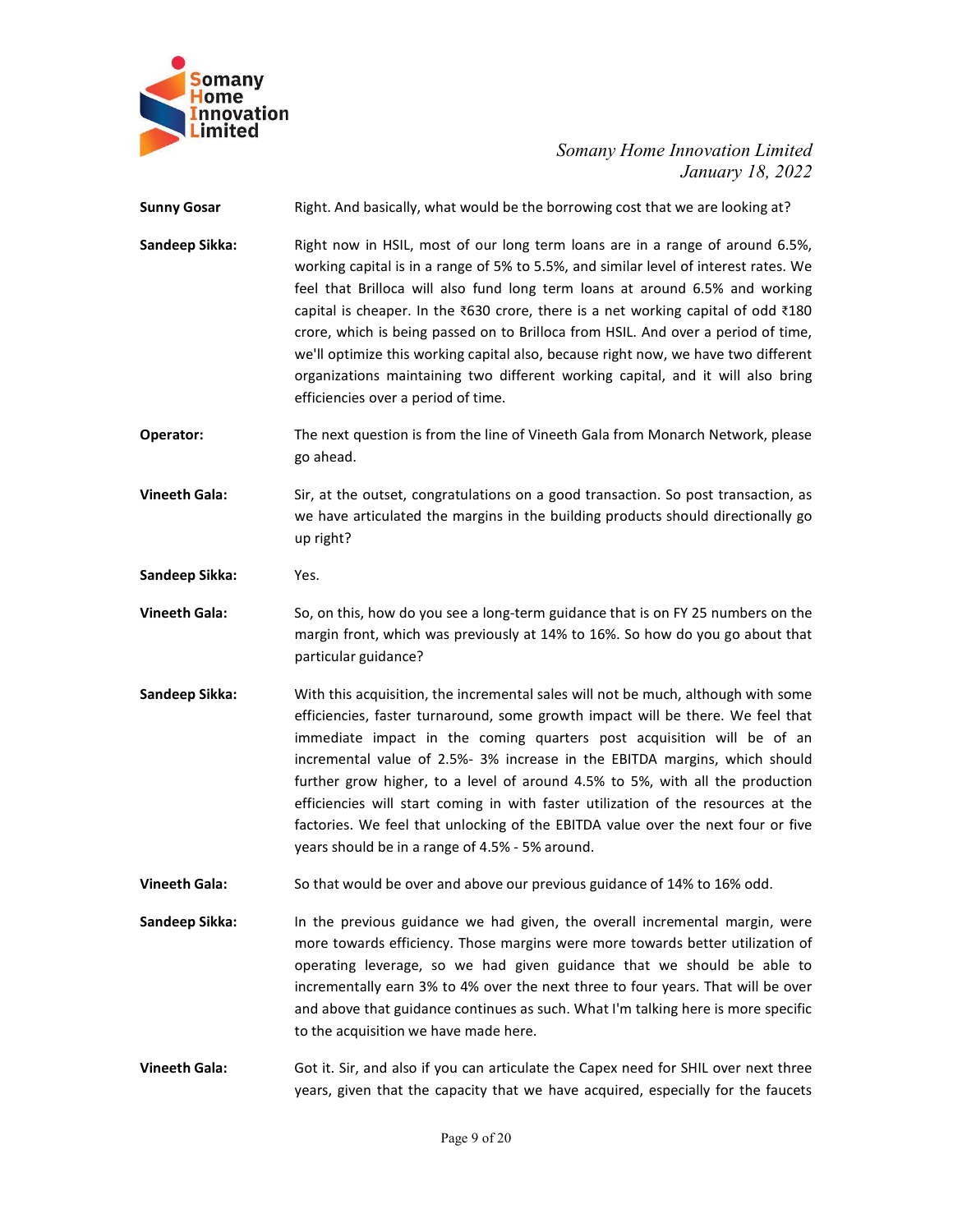

| iomany<br><b>lome</b><br><b>Innovation</b><br>.imited<br><b>Sunny Gosar</b> | Somany Home Innovation Limited                                                                                                                                        |
|-----------------------------------------------------------------------------|-----------------------------------------------------------------------------------------------------------------------------------------------------------------------|
|                                                                             |                                                                                                                                                                       |
|                                                                             |                                                                                                                                                                       |
|                                                                             |                                                                                                                                                                       |
|                                                                             |                                                                                                                                                                       |
|                                                                             |                                                                                                                                                                       |
|                                                                             | January 18, 2022                                                                                                                                                      |
|                                                                             | Right. And basically, what would be the borrowing cost that we are looking at?                                                                                        |
| Sandeep Sikka:                                                              | Right now in HSIL, most of our long term loans are in a range of around 6.5%,                                                                                         |
|                                                                             | working capital is in a range of 5% to 5.5%, and similar level of interest rates. We<br>feel that Brilloca will also fund long term loans at around 6.5% and working  |
|                                                                             | capital is cheaper. In the $\overline{6}30$ crore, there is a net working capital of odd $\overline{6}180$                                                            |
|                                                                             | crore, which is being passed on to Brilloca from HSIL. And over a period of time,                                                                                     |
|                                                                             | we'll optimize this working capital also, because right now, we have two different<br>organizations maintaining two different working capital, and it will also bring |
|                                                                             | efficiencies over a period of time.                                                                                                                                   |
| Operator:                                                                   | The next question is from the line of Vineeth Gala from Monarch Network, please                                                                                       |
|                                                                             | go ahead.                                                                                                                                                             |
| <b>Vineeth Gala:</b>                                                        | Sir, at the outset, congratulations on a good transaction. So post transaction, as                                                                                    |
|                                                                             | we have articulated the margins in the building products should directionally go<br>up right?                                                                         |
| Sandeep Sikka:                                                              | Yes.                                                                                                                                                                  |
|                                                                             |                                                                                                                                                                       |
| <b>Vineeth Gala:</b>                                                        | So, on this, how do you see a long-term guidance that is on FY 25 numbers on the<br>margin front, which was previously at 14% to 16%. So how do you go about that     |
|                                                                             | particular guidance?                                                                                                                                                  |
| Sandeep Sikka:                                                              | With this acquisition, the incremental sales will not be much, although with some                                                                                     |
|                                                                             | efficiencies, faster turnaround, some growth impact will be there. We feel that                                                                                       |
|                                                                             | immediate impact in the coming quarters post acquisition will be of an                                                                                                |
|                                                                             | incremental value of 2.5%- 3% increase in the EBITDA margins, which should<br>further grow higher, to a level of around 4.5% to 5%, with all the production           |
|                                                                             | efficiencies will start coming in with faster utilization of the resources at the                                                                                     |
|                                                                             | factories. We feel that unlocking of the EBITDA value over the next four or five<br>years should be in a range of 4.5% - 5% around.                                   |
| <b>Vineeth Gala:</b>                                                        |                                                                                                                                                                       |
|                                                                             | So that would be over and above our previous guidance of 14% to 16% odd.                                                                                              |
| Sandeep Sikka:                                                              | In the previous guidance we had given, the overall incremental margin, were<br>more towards efficiency. Those margins were more towards better utilization of         |
|                                                                             | operating leverage, so we had given guidance that we should be able to                                                                                                |
|                                                                             | incrementally earn 3% to 4% over the next three to four years. That will be over                                                                                      |
|                                                                             | and above that guidance continues as such. What I'm talking here is more specific<br>to the acquisition we have made here.                                            |
| <b>Vineeth Gala:</b>                                                        | Got it. Sir, and also if you can articulate the Capex need for SHIL over next three                                                                                   |
|                                                                             | years, given that the capacity that we have acquired, especially for the faucets                                                                                      |
|                                                                             | Page 9 of 20                                                                                                                                                          |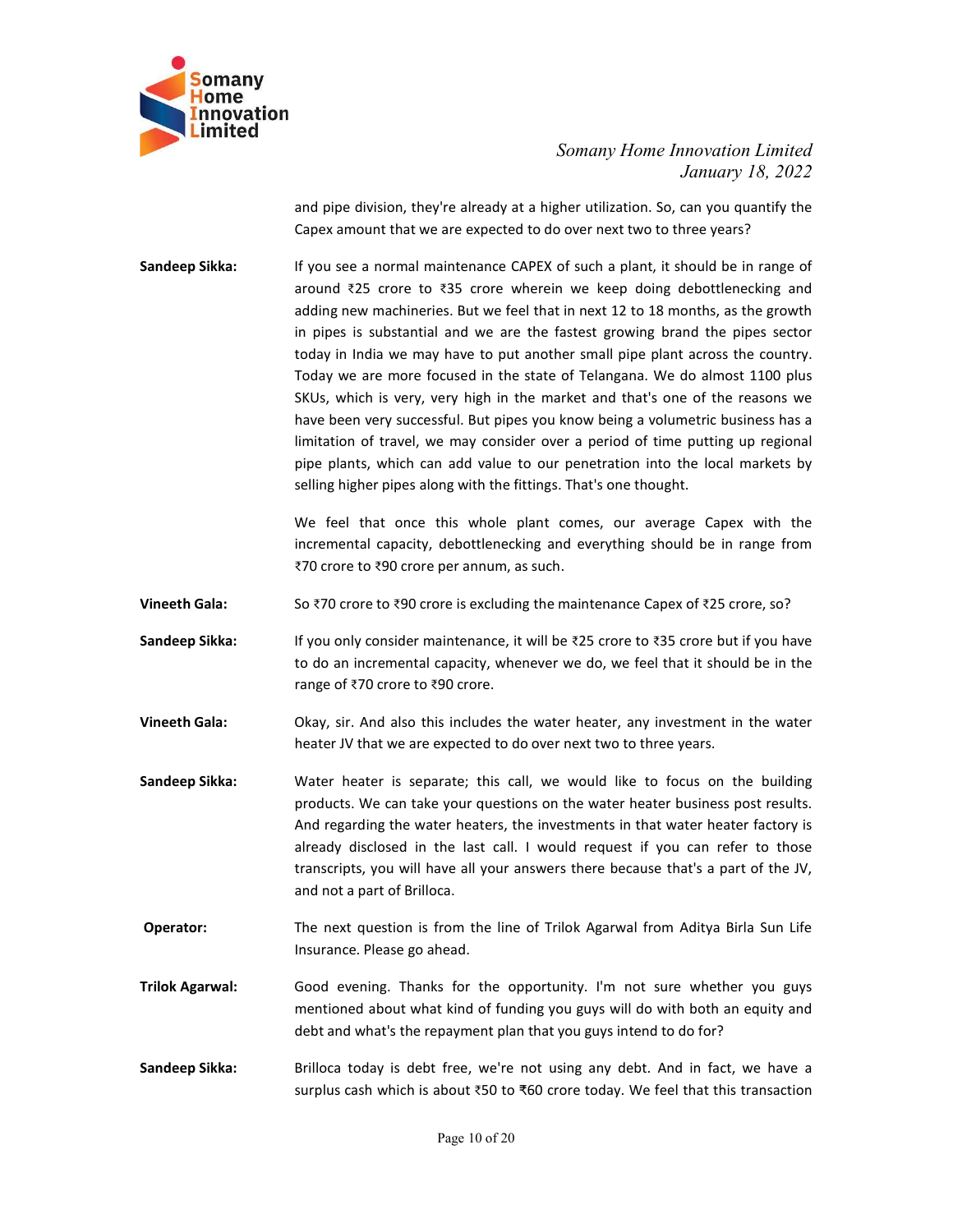

Somany Home Innovation Limited<br>January 18, 2022<br>sher utilization. So, can you quantify the<br>pover next two to three years? nnovation Limited<br>January 18, 2022<br>can you quantify the<br>nree years?<br>hould be in range of

Somany Home Innovation Limited<br>January 18, 2022<br>and pipe division, they're already at a higher utilization. So, can you quantify the<br>Capex amount that we are expected to do over next two to three years?<br>If you see a normal Somany Home Innovation Limited<br>January 18, 2022<br>and pipe division, they're already at a higher utilization. So, can you quantify the<br>Capex amount that we are expected to do over next two to three years?<br>If you see a normal Somany<br> **Somany Home Innovation Limited**<br> **Innovation**<br> **Innovation**<br> **Innovation**<br> **Innovation**<br> **Somany Home Innovation Limited**<br> **Sandeep Sikka:**<br>
If you see a normal maintenance CAPEX of such a plant, it should be in r Somany Home Innovation Limited<br>January 18, 2022<br>and pipe division, they're already at a higher utilization. So, can you quantify the<br>Capex amount that we are expected to do over next two to three years?<br>If you see a normal Somany Home Innovation Limited<br>
January 18, 2022<br>
and pipe division, they're already at a higher utilization. So, can you quantify the<br>
Capex amount that we are expected to do over next two to three years?<br>
If you see a no Somany Home Innovation Limited<br>
January 18, 2022<br>
January 18, 2022<br>
and pipe division, they're already at a higher utilization. So, can you quantify the<br>
Capex amount that we are expected to do over next two to three years Somany Home Innovation Limited<br>
January 18, 2022<br>
Capex amount that we are expected to do over next two to three years?<br>
If you see a normal maintenance CAPEX of such a plant, it should be in range of<br>
around ₹25 crore to Somany Home Innovation Limited<br>
January 18, 2022<br>
and pipe division, they're already at a higher utilization. So, can you quantify the<br>
Capex amount that we are expected to do over next two to three years?<br>
If you see a no Somany Home Innovation Limited<br>
January 18, 2022<br>
and pipe division, they're already at a higher utilization. So, can you quantify the<br>
Capex amount that we are expected to do over next two to three years?<br>
If you see a no Somany Home Innovation Limited<br>
January 18, 2022<br>
and pipe division, they're already at a higher utilization. So, can you quantify the<br>
Gapex amount that we are expected to do over next two to three years?<br>
If you see a no Somany Home Innovation Limited<br>
January 18, 2022<br>
and pipe division, they're already at a higher utilization. So, can you quantify the<br>
Capex amount that we are expected to do over next two to three years?<br>
If you see a no Somany Home Innovation Limited<br>January 18, 2022<br>and pipe division, they're already at a higher utilization. So, can you quantify the<br>Capex amount that we are expected to do over next two to three years?<br>If you see a normal Somany Home Innovation Limited<br>
January 18, 2022<br>
and pipe division, they're already at a higher utilization. So, can you quantify the<br>
Capex amount that we are expected to do over next two to three years?<br>
If you see a no Somany Home Innovation Limited<br>January 18, 2022<br>January 18, 2022<br>Capex amount that we are expected to do over next two to three years?<br>If you see a normal maintenance CAPEX of such a plant, it should be in range of<br>around Solution, they're already at a higher utilization. So, can you quantify the Gapex amount that we are expected to do over next two to three years?<br>If you see a normal maintenance CAPEX of such a plant, it should be in rang and pipe division, they're already at a higher utilization. So, can you surfify the<br>Capex amount that we are expected to do over next two to three yers?<br>If you see a normal maintenance CAPEX of such a plant, it should be Sandeep Sikka: If you see a normal maintenance CAPEX of such a plant, it should be in range of<br>around ₹25 crore to ₹35 crore wherein we keep doing debottlenecking and<br>adding new machineires. But we feel that mext 12 to 18 Sandeep Sikka: If you see a normal maintenance CAPEX of such a plant, it should be in range of around  $425$  crore to  $435$  crore wherein we keep doing debottlenceising and adding new machineries. But we feel that lin next The society and the method with the state of the state of the state of the state of the present that the method of a months, as the growth and that a may have to put another small pipe plant across the country. Today we a andding new machineries. But we feel that in next 12 to 18 months, as the growth<br>in pipes is substantial and we are the fastest growing brand the pipes sector<br>today in India we may have to put another small pipe piant ac in pipes is substantial and we are the tastet growing brand the pipes sectory.<br>
Today we are more focused in the state of Telangana. We do almost 1100 plus<br>
SKUs, which is very, very high in the maket and that's one of the today in India we may have to put another small pipe plant across the country.<br>
Today we are more focused in the state of Telangana. We do almost 1100 plus<br>
SKUs, which is very, very high in the market and that's one of th

- SKUs, which is very, very high in the market and that's one of the reasons we<br>have been very successful. But pipes you know being a volume method is mess has a<br>limitation of travel, we may consider over a period of time p have been very successful. But pipes you know being a volumetric business has a<br>limitation of travel, we may consider over a period of time putting up regional<br>pipe plants, which can add value to our penetration into the Ilmitation of travel, we may consider over a period of time putting up regional<br>pipe plants, which can add value to our penetration into the local markets by<br>selling higher pipes along with the fittings. That's one thought pipe plants, which can add value to our penetration into the local markets by<br>selling higher pipes along with the fittings. That's one thought.<br>We feel that once this whole plant comes, our average Capex with the<br>increment selling higher pipes along with the fittings. That's one thought.<br>We feel that once this whole plant comes, our average Capex with the<br>incremental capacity, debottlenecking and everything should be in range from<br>770 crore We feel that once this whole plant comes, our average Capex with the<br>incremental capacity, debottlenecking and everything should be in range from<br>770 crore to 790 crore per annum, as such.<br>So 770 crore to 790 crore per ann incremental capacity, debottlenecking and everything should be in range from<br>
Theeth Gala:<br>
So ₹70 crore to ₹90 crore is excluding the maintenance Capex of ₹25 crore, so?<br>
If you only consider maintenance, it will be ₹25 c 870 crore to 890 crore per annum, as such.<br>
So 870 crore to 890 crore is excluding the maintenance Capex of 825 crore, so?<br>
If you only consider maintenance, it will be 825 crore to 835 crore but if you have<br>
to do an inc Vineeth Gala:<br>
So ₹70 crore to ₹90 crore is excluding the maintenance Capex of ₹25 crore, so?<br>
Sandeep Sikka:<br>
If you only consider maintenance, it will be ₹25 crore to ₹35 crore but if you have<br>
to do an incremental capa If you only consider maintenance, it will be ₹25 crore to ₹35 crore but if you have<br>to do an incremental capacity, whenever we do, we feel that it should be in the<br>range of ₹70 crore to ₹90 crore.<br>Okay, sir. And also this If you only consider maintenance, it will be 225 crore to 335 crore but If you have<br>to do an incremental capacity, whenever we do, we feel that it should be in the<br>range of 370 crore to 390 crore.<br>Okay, sir. And also this range of ₹70 crore to ₹90 crore.<br>
Okay, sir. And also this includes the water heater, any investment in the water<br>
heater JV that we are expected to do over next two to three years.<br> **Sandeep Sikka:**<br>
We can take your ques Okay, sir. And also this includes the water heater, any investment in the water<br>heater JV that we are expected to do over next two to three years.<br>Water heater is separate; this call, we would like to focus on the building
- 
- 
-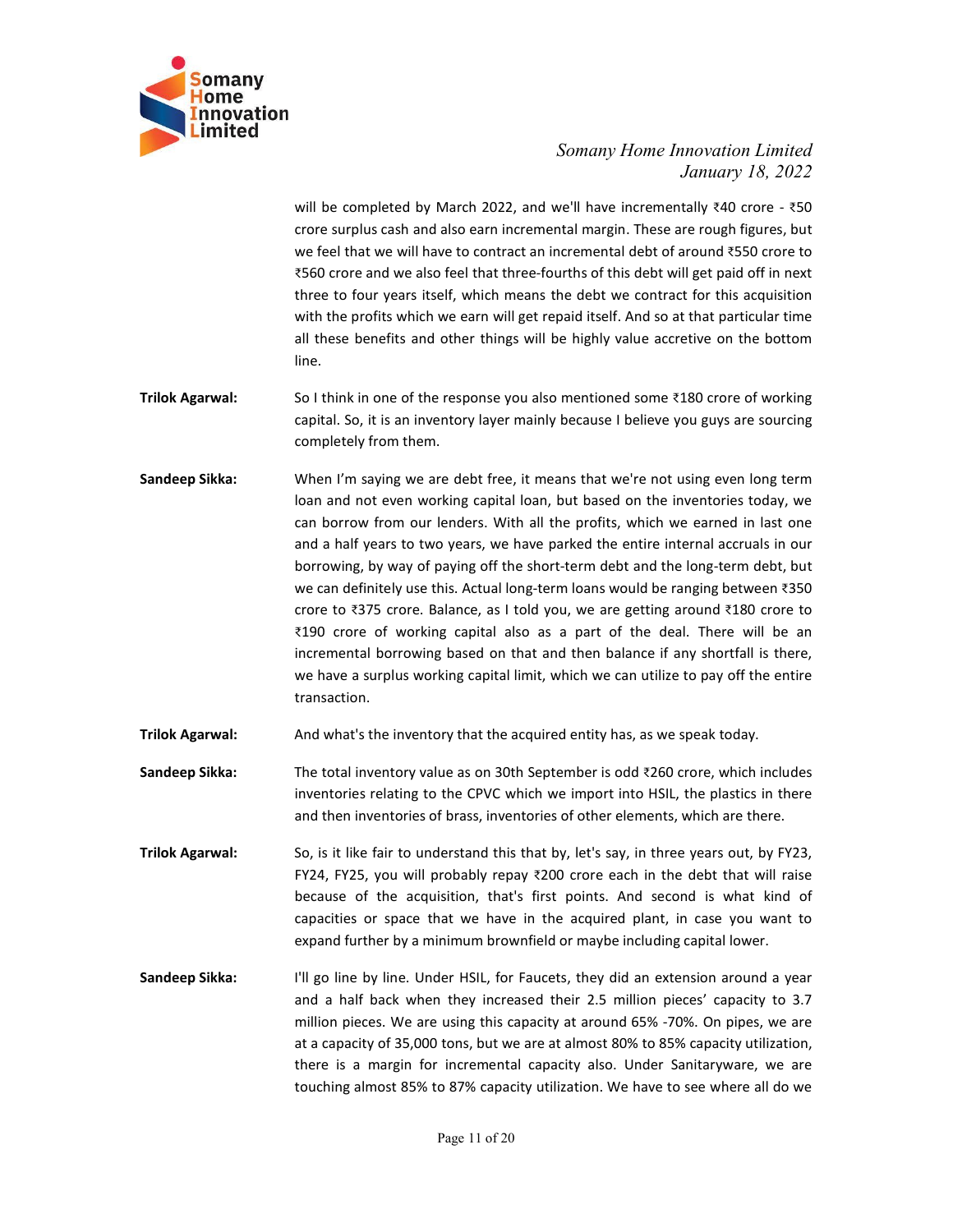

Somany Home Innovation Limited<br>January 18, 2022<br>Ve'll have incrementally ₹40 crore - ₹50<br>Thal margin. These are rough figures, but<br>ncremental debt of around ₹550 crore to nnovation Limited<br>January 18, 2022<br>tally ₹40 crore - ₹50<br>re rough figures, but<br>around ₹550 crore to<br>II get paid off in next Somany Home Innovation Limited<br>January 18, 2022<br>will be completed by March 2022, and we'll have incrementally ₹40 crore - ₹50<br>crore surplus cash and also earn incremental margin. These are rough figures, but<br>\*560 crore an Somany Home Innovation Limited<br>January 18, 2022<br>Will be completed by March 2022, and we'll have incrementally ₹40 crore - ₹50<br>crore surplus cash and also earn incremental margin. These are rough figures, but<br>we feel that w Somany Home Innovation Limited<br>January 18, 2022<br>will be completed by March 2022, and we'll have incrementally ₹40 crore - ₹50<br>crore surplus cash and also earn incremental margin. These are rough figures, but<br>we feel that w Somany Home Innovation Limited<br>January 18, 2022<br>will be completed by March 2022, and we'll have incrementally ₹40 crore - ₹50<br>orcre surplus cash and also earn incremental rargin. These are rough figures, but<br>we feel that Somany Home Innovation Limited<br>January 18, 2022<br>Unil be completed by March 2022, and we'll have incrementally  $\frac{840}{100}$  crore  $\frac{350}{100}$ <br>crore surplus cash and also earn incremental margin. These are rough figures, Somany Home Innovation Limited<br>
January 18, 2022<br>
will be completed by March 2022, and we'll have incrementally *340* crore - *350*<br>
trore surplus cash and also earn incremental margin. These are rough figures, but<br>
we fee Somany Home Innovation Limited<br>January 18, 2022<br>Unitary 18, 2022<br>Scrore surplus cash and also earn incremental margin. These are rough figures, but<br>we feel that we will have to contract an incremental debt of around 8550 line. **Frimmer Somany**<br> **Trinok Agarwal:** Somany *Home Innovation Limited*<br>
Imited<br>
Imited<br>
Imited<br>
Imited<br>
Imited<br>
We feel that we will have to conterat a incremental angin. These are rough figures, but<br>
we feel that we will h Somany Home Innovation Limited<br>
somany Home Innovation Limited<br>
scrore surplus cash and also earn incremental margin. These are rough figures, but<br>
we feel that we will have to contract an incremental debt of around 3550 c Somany Home Innovation Limited<br>
somany Home Innovation Limited<br>
somany 18, 2022<br>
will be completed by March 2022, and we'll have incrementally ₹40 crore - ₹50<br>
rcore surplus cash and also earn incremental margin. These are Somany Home Innovation Limited<br>
Innovation<br>
Limited<br>
January 18, 2022<br>
will be completed by March 2022, and we'll have incrementally 340 crore - 350<br>
crore surplus cash and also earn incremental margin. These are ought fig Somany Home Innovation Limited<br>
January 18, 2022<br>
will be completed by March 2022, and we'll have incrementally 440 crore - \*50<br>
rcroe surplis cash and also earn incremental margin. These are rough figures, but<br>
we feel th Somany Home Innovation Limited<br>
January 18, 2022<br>
strate of strate that we will have incrementally ado crore - x50<br>
strefel that we will have to contract an incremental margin. These are rough figures, but<br>
we feel that we

- 
- bounded by March 2022, and we'll have incrementally 440 crore x50<br>crore surplus cash and also earn incremental margin. These are rough figures, but<br>we feel that we will have to contract an incremental debt of around 3550 or will be completed by March 2022, and we'll have incremental way correct surplus cash and also earn incremental margin. These are rough figures, but we feel that we will have to contract an incremental debt of around 455 will be completed by March 2022, and we'll have incrementally ₹40 crore - ₹50<br>crore surplus cash and also carn incremental margin. These are rough figures, but<br>we feel that we will have to contract an incremental debt of a crore surplus cash and also earn incremental margin. These are rough figures, but<br>we feel that we will have to contract an incremental debt of around ₹550 crore to<br>step crore and we also feel that three-fourths of this de we feel that we will have to contract an incremental debt of around ₹550 crore to<br>
₹560 crore and we also feel that three-fouths of this debt will get paid off in next<br>
three to four years itself, which means the debt we ₹560 crore and we also feel that three-fourths of this debt will get paid off in next<br>three to four years itself, which means the debt we contract for this acquisition<br>with the profits which we earn will get repaid itself three to four years itself, which means the debt we contract for this acquisition<br>with the profits which we earn will get repaid itself. And so at that particular time<br>all these benefits and other things will be highly val transaction. If the Agarwal:<br>
Ine.<br>
Ine.<br>
So I think in one of the response you also mentioned some t180 crore of working<br>
completely from them.<br>
Sandeep Sikka:<br>
When in saying we are debt free, it means that we're not using even long So I think in one of the response you also mentioned some ₹180 crore of working<br>
capital. So, it is an inventory layer mainly because 1 believe you guys are sourcing<br>
sompletely from them.<br>
When I'm saying we are debt fre invention the controllation and the CPVC which we incorrelation of the CPVC with the CPU and the CPUC with a controllation of the CPVC while and not the CPVC which we imported by from them.<br>
When I'm saying we are debt fre commetely from them.<br>
When I'm saying we are debt free, it means that we're not using even bore to the inventories to day, we<br>
scan borrow from our lenders. With all the profits, which we earned in last one<br>
and a half yea Sandeep Sikka: When I'm saying we are debt free, it means that we're not using even long term<br>
loan and not teen working capital loan, but based on the inventories today, we<br>
can borrow from our lenders. With all the prof From a half years to two years. With all the profits, which we earned in last one<br>tan and not even working capital loan, but based on the inventories today, we<br>can borrow from our lenders. With all the profits, which we ea because of the acquisition, the profits, which we earned in last one control of the acquisition by the acquisition of the acquisition of and a half years to two years, we have parked the entire internal accruals in our an can a but it was the two wears, we have parked the entire internal accruals in our borrowing, by way of paying off the short-term debt and the long-term debt, but borrowing, by way of paying off the short-term debt and the expand to the peace of the short-lement methand the tone that the content methand the content methand the hong-term debt, but we can definitely use this. Actual long-term loans would be ranging between ₹350 we can definit
- 
- 
- 
- we can deminitely use that Actual long-term loans would be ranging between 4350<br>scree to 4375 crore. Balance, as 1 told you, we are getting around 4180 crore to<br>4190 crore of working capital also as a part of the deal. Th crore to 43/5 crore. Bialance, as I told you, we are getting around 4280 crore of or expective and the balance if any shortfall is there, we have a surplus working capital limit, which we can utilize to pay off the entire et all go three of working captal also as a part of the etal. Inere will be an<br>incremental borrowing based on that and then balance if any shortfall is there,<br>we have a surplus working capital limit, which we can utilize t Incermental borrowing based on that and then balance if any shortfall is there,<br>then as a surplus working capital limit, which we can utilize to pay off the entire<br>transaction.<br>And what's the inventory that the acquired e we have a surplus working capital limit, which we can utilize to pay off the entire<br>transaction.<br>And what's the inventory that the acquired entity has, as we speak today.<br>The total inventories relating to the CVV which we transaction.<br>
And what's the inventory that the acquired entity has, as we speak today.<br>
The total inventory value as on 30th September is odd ₹260 crore, which includes<br>
inventories relating to the CPVC which we import in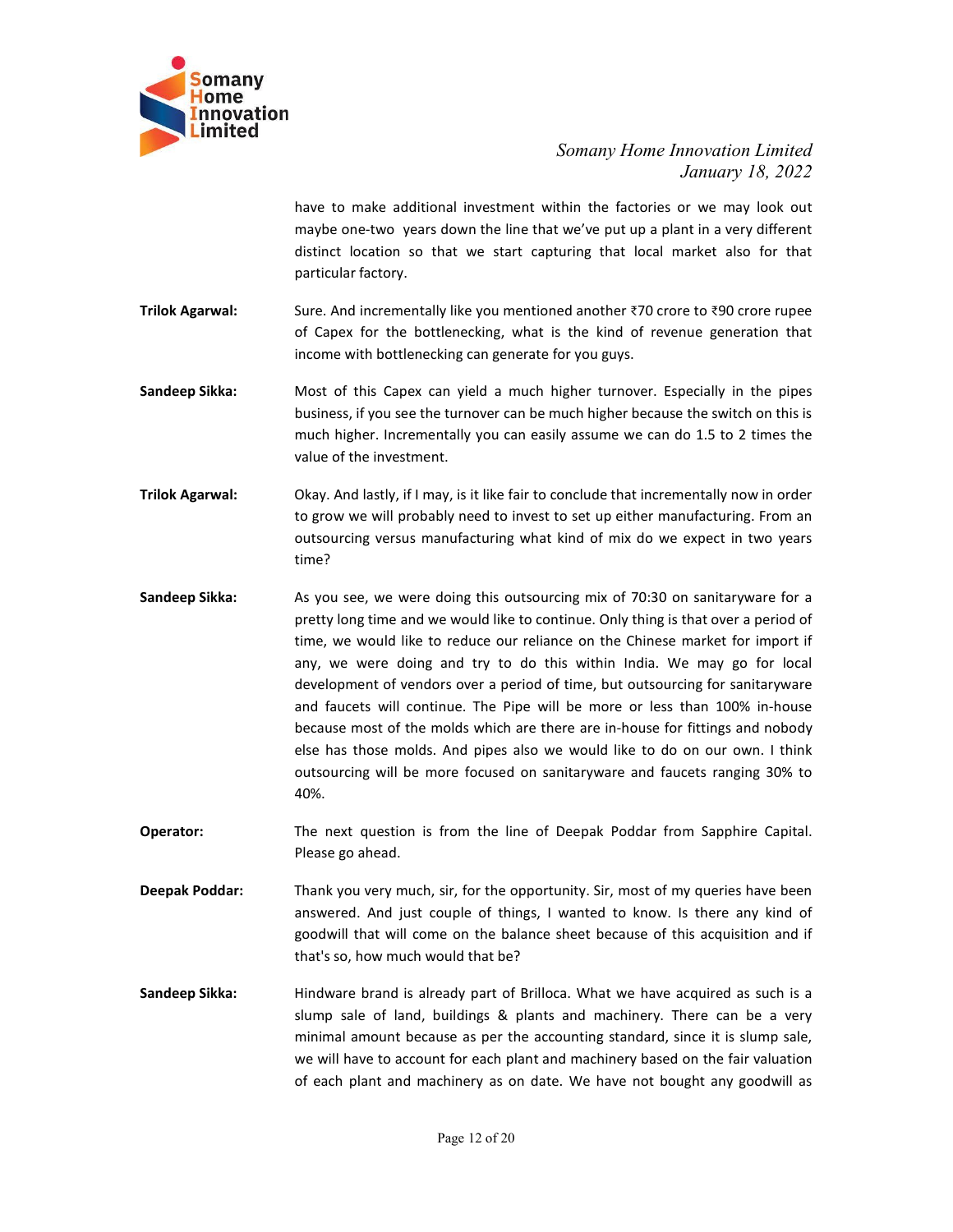

Somany Home Innovation Limited<br>January 18, 2022<br>thin the factories or we may look out<br>twe've put up a plant in a very different<br>turing that local market also for that unovation Limited<br>January 18, 2022<br>pr we may look out<br>nt in a very different<br>narket also for that Somany Home Innovation Limited<br>January 18, 2022<br>have to make additional investment within the factories or we may look out<br>maybe one-two years down the line that we've put up a plant in a very different<br>distinct location s Somany Home Innovation Limited<br>January 18, 2022<br>have to make additional investment within the factories or we may look out<br>maybe one-two years down the line that we've put up a plant in a very different<br>distinct location Somany Home Innovation Limited<br>January 18, 2022<br>have to make additional investment within the factories or we may look out<br>maybe one-two years down the line that we've put up a plant in a very different<br>distinct location s Somany Home Innovation Limited<br>January 18, 2022<br>have to make additional investment within the factories or we may look out<br>maybe one-two years down the line that we've put up a plant in a very different<br>distinct location **Frilok Agarwal:** Somany Iome Innovation Limited<br>
Innovation<br>
Innovation<br>
have to make additional investment within the factories or we may look out<br>
may 18, 2022<br>
have to make additional investment within the factories o Somany Home Innovation Limited<br>January 18, 2022<br>January 18, 2022<br>have to make additional investment within the factories or we may look out<br>maybe one-two years down the line that we've put up a plant in a very different<br>pa Somany Home Innovation Limited<br>January 18, 2022<br>Mawe to make additional investment within the factories or we may look out<br>maybe one-two years down the line that we've put up a plant in a very different<br>distinct location s Somany Home Innovation Limited<br>
January 18, 2022<br>
have to make additional investment within the factories or we may look out<br>
maybe one-two years down the line that we've put up a plant in a very different<br>
distinct locati Somany Home Innovation Limited<br>January 18, 2022<br>have to make additional investment within the factories or we may look out<br>distinct location so that we start capturing that local market also for that<br>distinct location so t Somany Home Innovation Limited<br>
January 18, 2022<br>
have to make additional investment within the factories or we may look out<br>
maybe one-two years down the line that we've put up a plant in a very different<br>
distinct locati Somany Home Innovation Limited<br>January 18, 2022<br>January 18, 2022<br>maybe one-two years down the line that we've put up a plant in a very different<br>distinct location so that we start capturing that local market also for that<br> Somany Home Innovation Limited<br>January 18, 2022<br>January 18, 2022<br>maybe one-two years down the line that we've put up a plant in a very different<br>distinct location so that we start capturing that local market also for that

Somany<br>
Somany Home Innovation<br>
Infinited Somany Home Innovation Limited<br>
Infinited Save to make additional investment within the factories or we may look out<br>
may look out<br>
may look out<br>
may look out<br>
one, And incremental

Somany Home Innovation Invited<br>
Somany Home Invovation Limited<br>
January 18, 2022<br>
have to make additional investment within the factories or we may look out<br>
may look out<br>
may look out<br>
may look out<br>
sure. And incrementall time?

- nave to make additional investment within the factories or we may look out<br>maybe one-two years down the line that we've put up a plant in a very different<br>distinct location so that we start capturing that local market also maye one-two years down the line that we ve put up a plant in a very different<br>distinct location so that we start capturing that local market also for that<br>particular factory.<br>Sure. And incrementally like you mentioned ano distinct location so that we start capturing that local market also for that<br>Barticular factory.<br>Surfactionary and incrementally like you mentioned another ₹70 crore to ₹90 crore rupee<br>of Capex for the bottlenecking, what particular factory.<br>
Sure. And incrementally like you mentioned another 370 crore to 390 crore rupee<br>
of Capex for the bottlenecking, what is the kind of revenue generation that<br>
microme with bottlenecking can generate for Sure. And incrementally like you mentioned another ₹70 crore to ₹90 crore rupee<br>of Capex for the bottlenecking, what is the kind of revenue generation that<br>income with bottlenecking can generate for you guys.<br>Most of this and the mether methane and the more or location and the more of the bottlenecking, what is the kind of revenue generation that income with bottlenecking can generate for you guys.<br>
Most of this Capex can yield a much highe because more the molds which are the molds which are the molds which are the molds which are the molds which are the molds which are the molds by two see the turnover can be much higher because the switch on this is much h meance and bouchceduring can generate. Or you gaype.<br>
Most of this Capex can yield a much higher turnover. Especially in the pipes<br>
Most of this Capex can yield a much higher because the switch on this is<br>
much higher. Inc Most of this Capex can yield a much higher turnover. Especially in the pipes<br>business, if you see the turnover can be much higher because the switch on this is<br>much higher. Incrementally you can easily assume we can do 1.5 40%. Trilok Agarwal:<br>
value of the investment.<br>
Okay. And lastly, if I may, is it like fair to conclude that incrementally now in order<br>
to grow we will probably need to invest to set up either manufacturing. From an<br>
outsourci Okay. And lastly, if i may, is it like fair to conclude that incrementally now in order<br>Okay. And lastly, if i may, is it like fair to conclude that incrementally now in order<br>oto grow we will probably need to invest to se The metal of my wear will probably heed to lnvest to set up either manufacturing. From an outsourcing versus manufacturing what kind of mix do we expect in two years time?<br>
Sandeep Sikka:<br>
Sandeep Sikka:<br>
As you see, we we er sector and methodology metals of things, and the exert in mumelenturing versis time?<br>As you see, we were doing this outsourcing mix of 70:30 on sanitaryware for a<br>pretty long time and we would like to continue. Only thi because the will be the cometa on the balance sheet because of this acquired as such is a sumposed when the balance sheet because on the Chinese market for import if the we would like to reduce our reliance on the Chinese that you see, we were doing this outsourcing mix of 70:30 on sanitaryware for a<br>As you see, we were doing this outsourcing mix of 70:30 on sanitaryware for a<br>pretty long time and we would like to continue. Only thing is th Sandeep Sikka: Hindware brand is already when the chinese maker for improof if the me, we would like to continue. Only thing is that over a period of the any, we were doing and ty to obtis within India. We may go for local plant, we would like to reduce our reliance on the Chinese market for import if any, we were doing and try to do this within India. We may go for local any, we were doing and try to do this within India. We may go for loca miny, we were doing and ty to do this within lindia. We may go for local<br>any, we were doing and ty to do this within lindia. We may go for local<br>development of vendors over a period of time, but outsourcing for sanitary<br>wa why the these borses are ally a controlled the but outsourching for santiary<br>averaginent of vendors over a period of time, but outsourcing for santiary<br>varies and faucets will continue. The Pipe will be more or thess than Experience of each plant and machinery solutions and faucts will continue. The Pipe will be more or less than 100% in-house because most of the molds which are there are in-house for fittings and nobody because most of the
-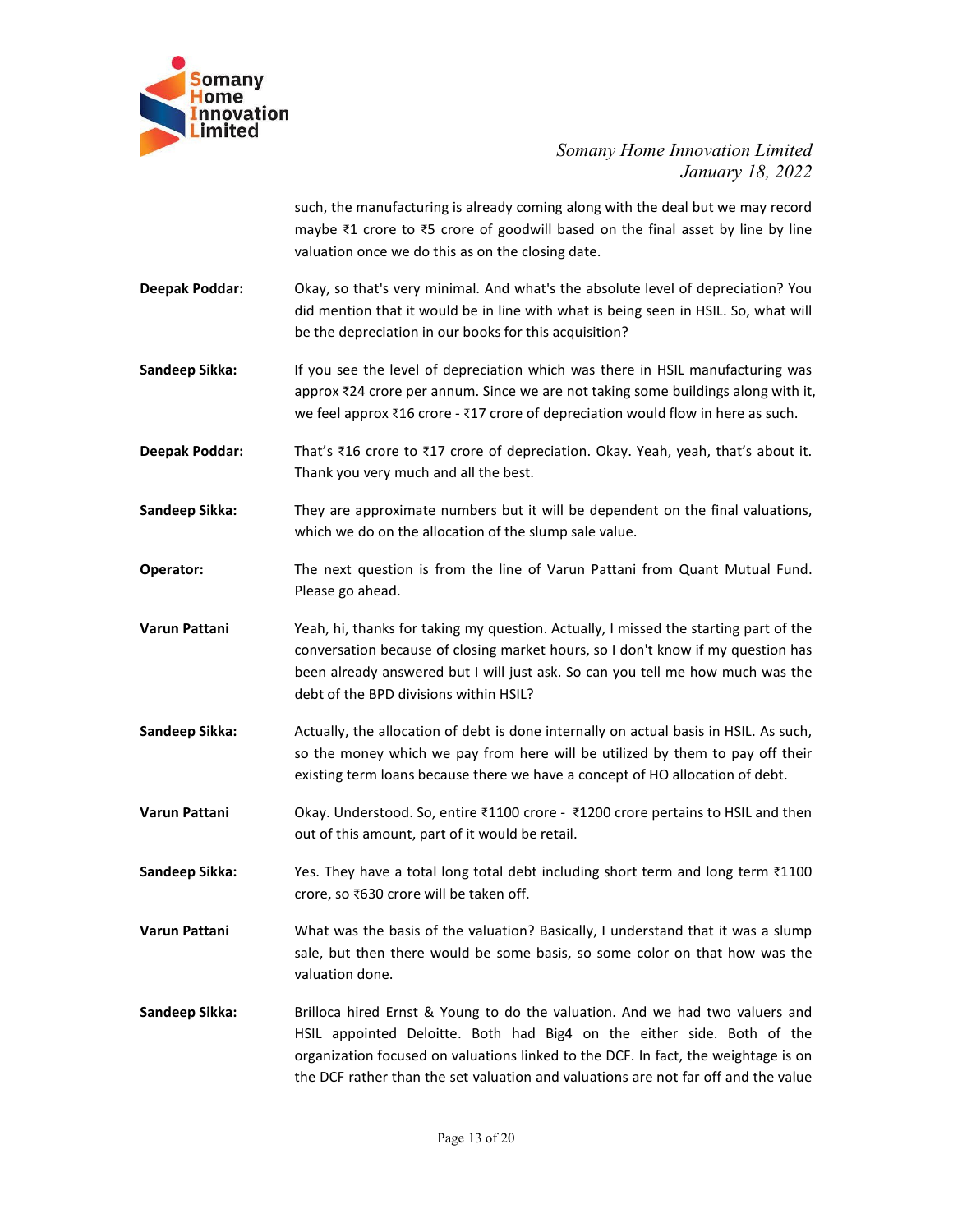

Somany Home Innovation Limited<br>January 18, 2022<br>g along with the deal but we may record<br>based on the final asset by line by line<br>g date. nnovation Limited<br>January 18, 2022<br>al but we may record<br>asset by line by line Somany Home Innovation Limited<br>January 18, 2022<br>such, the manufacturing is already coming along with the deal but we may record<br>maybe ₹1 crore to ₹5 crore of goodwill based on the final asset by line by line<br>valuation once Somany Home Innovation Limited<br>January 18, 2022<br>such, the manufacturing is already coming along with the deal but we may record<br>maybe ₹1 crore to ₹5 crore of goodwill based on the final asset by line by line<br>valuation once Somany Home Innovation Limited<br>January 18, 2022<br>such, the manufacturing is already coming along with the deal but we may record<br>maybe 31 crore to 35 crore of goodwill based on the final asset by line by line<br>valuation once Somany Home Innovation Limited<br>
January 18, 2022<br>
such, the manufacturing is already coming along with the deal but we may record<br>
maybe ₹1 crore to ₹5 crore of goodwill based on the final asset by line by line<br>
Okay, so t Somany Home Innovation Limited<br>
January 18, 2022<br>
such, the manufacturing is already coming along with the deal but we may record<br>
maybe ₹1 crore to ₹5 crore of goodwill based on the final asset by line by line<br>
columns on Somany Home Innovation Limited<br>January 18, 2022<br>such, the manufacturing is already coming along with the deal but we may record<br>maybe ₹1 crore to ₹5 crore of goodwill based on the final asset by line by line<br>valuation onc Somany Home Innovation Limited<br>
January 18, 2022<br>
such, the manufacturing is already coming along with the deal but we may record<br>
maybe <sup>21</sup> crore to <sup>25</sup> crore of goodwill based on the final asset by line by line<br>
valua Somany Home Innovation Limited<br>
January 18, 2022<br>
such, the manufacturing is already coming along with the deal but we may record<br>
maybe ₹1 crore to ₹5 crore of goodwill based on the final asset by line by line<br>
valuation Somany Home Innovation Limited<br>
such, the manufacturing is already coming along with the deal but we may record<br>
maybe ₹1 crore to ₹5 crore of goodwill based on the final asset by line by line<br>
valuation once we do this a

- **Example 19**<br> **Example 11 And Somary Home Innovation Limited**<br> **Example 11 And Somary 18, 2022**<br> **Somary 18, 2022**<br> **Somary 18, 2022**<br> **Somary 18, 2022**<br> **Somary 18, 2022**<br> **Deepak Poddar:**<br> **Okay, so that's very minimal.**
- **Somany**<br> **Somany**<br> **Example 16.1 Interval of the manufacturing is already coming along with the deal but we may record<br>
survey at crore to 75 crore of goodwill based on the final asset by line by line<br>
was the valuation** Deepak Poddar: That's ₹16 crore to ₹17 crore of depreciation. Okay. Yeah, yeah, that's about it. **Example 18** Somany *Home Innited January* 18, 2022<br>
such, the manufacturing is already coming along with the deal but we may record<br>
maybe 11 crore to 15 crore of goodwill based on the final asset by line by line<br>
D
- 
- 
- 
- Such, the manufacturing is already coming along with the deal but we may record<br>
maybe 21 crore to 25 crore of goodwill based on the final asset by line by line<br>
valuation once we do this as on the closing date.<br>
Okay, so such, the manufacturing is already coming along with the deal but we may record<br>maybe ₹1 crore to ₹5 crore of goodwill based on the final asset by line by line<br>valuation once we do this as on the closing date.<br>Okay, so tha valuation once we do this as on the closing date.<br>
Okay, so that's very minimal. And what's the absolute level of depreciation? You<br>
did mention that it would be in line with what is being seen in HSIL. So, what will<br>
be t Okay, so that's very minimal. And what's the absolute level of depreciation? You<br>did mention that it would be in line with what is being seen in HSIL. So, what will<br>be the depreciation in our books for this acquisition?<br>I Okay, so that's very minimal. And what's the absolute level of depreciation? You<br>did mention that it would be in line with what is being seen in HSIL. So, what will<br>be the depreciation in our books for this acquisition?<br>If did mention that it would be in line with what is being seen in HSIL. So, what will<br>be the depreciation in our books for this acquisition?<br>If you see the level of depreciation which was there in HSIL manufacturing was<br>appr Sandeep Sikka: If you see the level of depreciation which was there in HSIL manufacturing was<br>
approx 224 crore per annum. Since we are not taking some buildings along with it,<br>
we feel approx 216 crore to 217 crore of de If you see the level of depreciation which was there in HSIL manufacturing was<br>approx 724 crore per annum. Since we are not taking some buildings along with it,<br>we feel approx ₹18 crore - ₹17 crore of depreciation would fl approx 324 crore per annum. Since we are not taking some buildings along with it,<br>we feel approx 316 crore - 317 crore of depreciation would flow in here as such.<br>That's 316 crore to 317 crore of depreciation. Okay. Yeah, **Deepak Poddar:** That's ₹16 crore to ₹17 crore of depreciation. Okay, Yeah, yeah, that's about it.<br>
Thank you very much and all the best.<br> **Sandeep Sikka:** They are approximate numbers but it will be dependent on the fina That's 316 crore to 317 crore of depreciation. Okay, Yeah, yeah, that's about it.<br>Thank you very much and all the best.<br>They are approximate numbers but it will be dependent on the final valuations,<br>which we do on the allo Sandeep Sikka: They are approximate numbers but it will be dependent on the final valuations,<br>
which we do on the allocation of the slump sale value.<br>
Operator: The next question is from the line of Varun Pattani from Qua They are approximate numbers but it will be dependent on the final valuations,<br>which we do on the allocation of the slump sale value.<br>The next question is from the line of Varun Pattani from Quant Mutual Fund.<br>Please go ah Operator:<br>
The next question is from the line of Varun Pattani from Quant Mutual Fund.<br>
Please go ahead.<br>
Varun Pattani Yeah, hi, thanks for taking my question. Actually, I missed the starting part of the<br>
conversation bec The next question is from the line of Varun Pattani from Quant Mutual Fund.<br>
Please go ahead.<br>
Neah, hi, thanks for taking my question. Actually, I missed the starting part of the<br>
conversation because of closing market ho
- 
- 
- 
- 
- Please go ahead.<br>
Yeah, hi, thanks for taking my question. Actually, I missed the starting part of the<br>
conversation because of closing market hours, so I don't know if my question has<br>
been already answered but I will jus Varun Pattani Yeah, hi, thanks for taking my question. Actually, I missed the starting part of the<br>sonversation because of closing market houns, so I don't know if my question has<br>been already answered but I will just ask. conversation because of closing market hours, so I don't know if my question has<br>been already answered but I will just sak. So can you tell me how much was the<br>delt of the BPD divisions within HSIL?<br>Actually, the allocatio been already answered but I will just ask. So can you tell me how much was the<br>elebt of the BPD divisions within HSIL?<br>Actually, the allocation of debt is done internally on actual basis in HSIL. As such,<br>so the money whic debt of the BPD divisions within HSIL?<br>Actually, the allocation of debt is done internally on actual basis in HSIL. As such,<br>so the money which we pay from here will be utilized by them to pay off their<br>existing term loans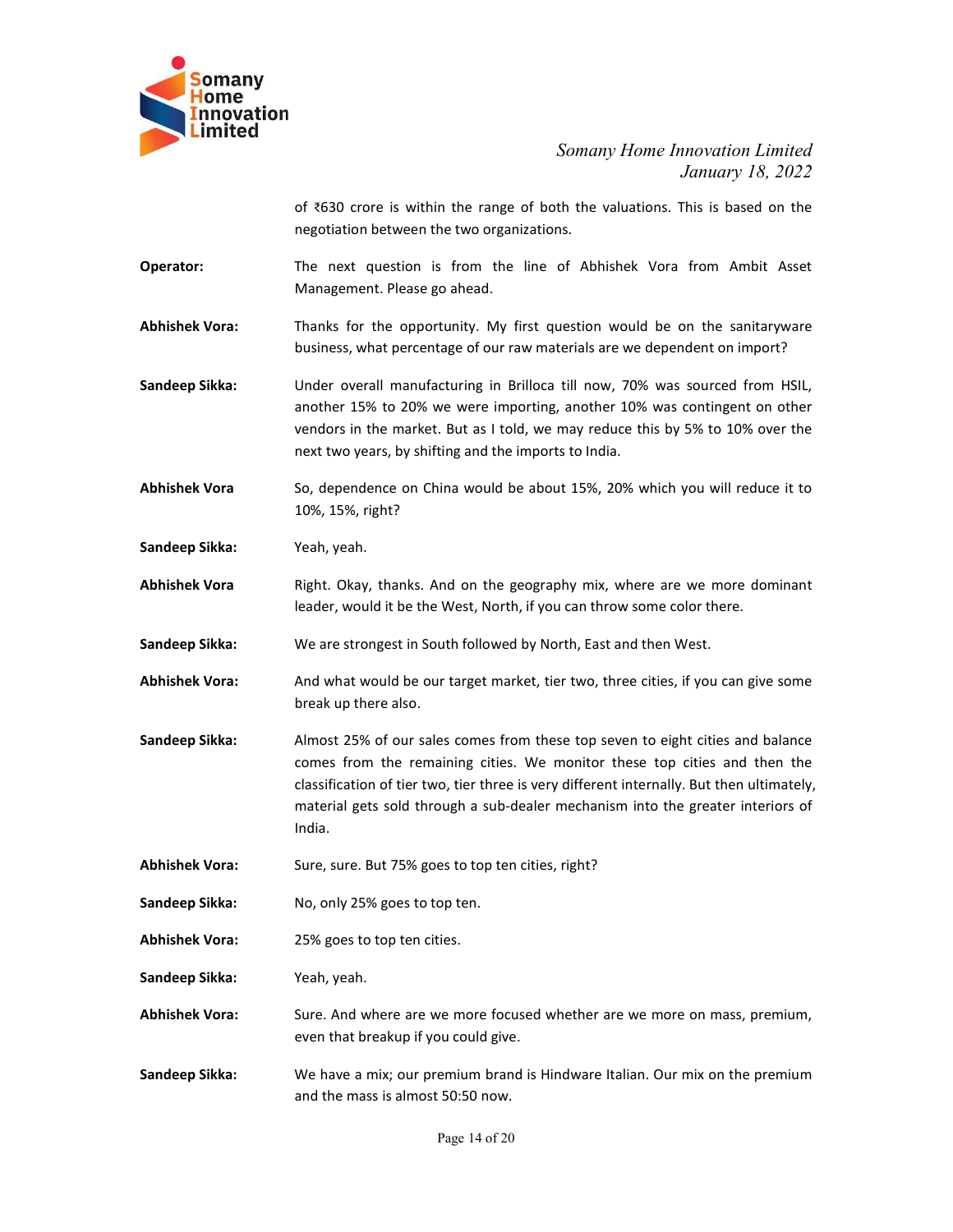

Somany Home Innovation Limited<br>January 18, 2022<br>th the valuations. This is based on the<br>ns. nnovation Limited<br>January 18, 2022<br>This is based on the<br>from Ambit Asset Somany Home Innovation Limited<br>January 18, 2022<br>of ₹630 crore is within the range of both the valuations. This is based on the<br>negotiation between the two organizations.<br>The next question is from the line of Abhishek Vora Somany Home Innovation Limited<br>January 18, 2022<br>January 18, 2022<br>The next question between the two organizations.<br>The next question is from the line of Abhishek Vora from Ambit Asset<br>Management. Please go ahead.<br>Thanks for Somany Home Innovation Limited<br>January 18, 2022<br>January 18, 2022<br>negotiation between the two organizations.<br>The next question is from the line of Abhishek Vora from Ambit Asset<br>Management. Please go ahead.<br>Thanks for the o

- Somany<br>
Innovation<br>
Innovation<br>
Innited<br>
Somany Home Innovation Limited<br>
Somany Home Innovation Limited<br>
January 18, 2022<br>
of ₹630 crore is within the range of both the valuations. This is based on the<br>
negotiation between
- 

Somany<br> **Abhishek Vora:** The opportunity. The opportunity of the opportunity. The opportunity of the opportunity. The opportunity. My first question would be on the sanitaryware<br>
Abhishek Vora: The next question is from th Somany Home Innovation Limited<br>January 18, 2022<br>negotiation between the two organizations.<br>This is based on the<br>necentalism between the two organizations.<br>The next question is from the line of Abhishek Vora from Ambit Asse Somany<br>
Somany Home<br>
Innovation<br>
Instituted<br>
Instituted<br>
Instituted<br>
Somany Home Innovation Limited<br>
January 18, 2022<br>
of ₹630 crore is within the range of both the valuations. This is based on the<br>
negotiation between the Somany Home Innovation Limited<br>
January 18, 2022<br>
another 15% of 2022<br>
another the two organizations.<br>
The next question is from the line of Abhishek Vora from Ambit Asset<br>
Management. Please go ahead.<br>
Thanks for the oppo Somany Home Innovation Limited<br>January 18, 2022<br>of ₹630 crore is within the range of both the valuations. This is based on the<br>negotiation between the two organizations.<br>The next question is from the line of Abhishek Vora Somany Home Innovation Limited<br>January 18, 2022<br>of ₹630 crore is within the range of both the valuations. This is based on the<br>negotiation between the two organizations.<br>The next question is from the line of Abhishek Vora Final Control Control Control Control Control Control Control Control Control Control Control Control Control Control Control Control Control Control Control Control Control Control Control Control Control Control Control Somany Home Innovation Limited<br>January 18, 2022<br>of ₹630 crore is within the range of both the valuations. This is based on the<br>regotiation between the two organizations.<br>The next question is from the line of Abhishek Vora Sandeep Sikka:<br>
Sandeep Sikka:<br>
Sandeep Sikka:<br>
Weather Wood and the measurement Petron is from the line of Abhishek Vora from Ambit Asset<br>
Management. Please go ahead.<br>
Abhishek Vora:<br>
Thanks for the opportunity. My first of x630 crore is within the range of both the valuations. This is based on the<br>
negotiation between the two organizations.<br>
The next question is from the line of Abhishek Vora from Ambit Asset<br> **Abhishek Vora:**<br> **Constant** negotiation between the two organizations.<br>The next question is from the line of Abhishek Vora from Ambit Asset<br>Management. Please go ahead.<br>Thanks for the opportunity. My first question would be on the sanitaryware<br>busine Operator: The next question is from the line of Abhishek Vora from Ambit Asset<br>
Management. Please go ahead.<br>
Sandeep Sikka: Thanks for the opportunity. My first question would be on the sanitary<br>
sandeep Sikka: Under over Mahishek Vora:<br>
Mahishek Vora: Thanks for the opportunity: My first question would be on the sanitaryware<br>
business, what percentage of our raw materials are we dependent on import?<br>
Sandeep Sikka:<br>
Under overall manufactu

- 
- Thanks for the opportunity. My first question would be on the sanitaryware<br>business, what percentage of our raw materials are we dependent on import?<br>Under overall manufacturing in Brilloca till now, 70% was sourced from H Sandeep Sikka: Under overall manufacturing in Brilloca till now, 70% was sourced from HSL,<br>another 15% to 20% we were importing, another 10% was sourced from HSL,<br>another 15% to 20% we were importing, another 10% was conti Under overall manufacturing in Brilloca till now, 70% was sourced from HSIL,<br>another 15% to 20% we were importing, another 10% was contingent on other<br>vendors in the market. But as 1 told, we may reduce this by 5% to 10% o another 15% to 20% we were importing, another 10% was contingent on other vendors in the market. But as I told, we may reduce this by 5% to 10% over the mext two years, by shifting and the imports to India.<br>So, dependence vendors in the market. But as I told, we may reduce this by 5% to 10% over the<br>next two years, by shifting and the imports to India.<br>So, dependence on China would be about 15%, 20% which you will reduce it to<br>10%, 15%, rig India. Abhishek Vora: So, dependence on China would be about 15%, 20% which you will reduce it to<br>
10%, 15%, right?<br>
Yeah, yeah.<br>
Yeah, yeah.<br>
Yeah, yeah.<br>
Abhishek Vora: Right. Okay, thanks. And on the geography mix, where are w Sandeep Sikka:<br>
Yeah, yeah.<br>
Yeah, yeah.<br>
Nabhishek Vora<br>
Right. Okay, thanks. And on the geography mix, where are we more dominant<br>
Rabhishek Vora:<br>
Sandeep Sikka:<br>
We are strongest in South followed by North, East and th Fearl, yeari.<br>
Nahishek Vora<br>
Rahishek Vora<br>
Rahishek Vora:<br>
Leader, would it be the West, North, if you can throw some color there.<br>
Sandeep Sikka:<br>
We are strongest in South followed by North, East and then West.<br>
Abhish Abity that we are the equal of the equal of the exact, North, if you can throw some color there.<br>
Sandeep Sikka:<br>
We are strongest in South followed by North, East and then West.<br>
Abhishek Vora:<br>
And what would be our targ Sandeep Sikka:<br>
We are strongest in South followed by North, East and then West.<br>
Abhishek Vora:<br>
And what would be our target market, tier two, three cities, if you can give some<br>
break up there also.<br>
Sandeep Sikka:<br>
Alm We are strongest in soluti lonowed by worth, east and their west.<br>And what would be our target market, tier two, three cities, if you can give some<br>break up there also.<br>Almost 25% of our sales comes from these top seven to Sandeep Sikka:<br>
We have a mix of the pressure of the pressure of the pressure of the pressure of the pressure of the two states comes from these top seven to eight cities and balance<br>
comes from the remaining cities. We mo break up there also.<br>
Almost 25% of our sales comes from these top seven to eight cities and balance<br>
comes from the remaining cities. We monitor these top cities and then the<br>
classification of tier two, tier three is ver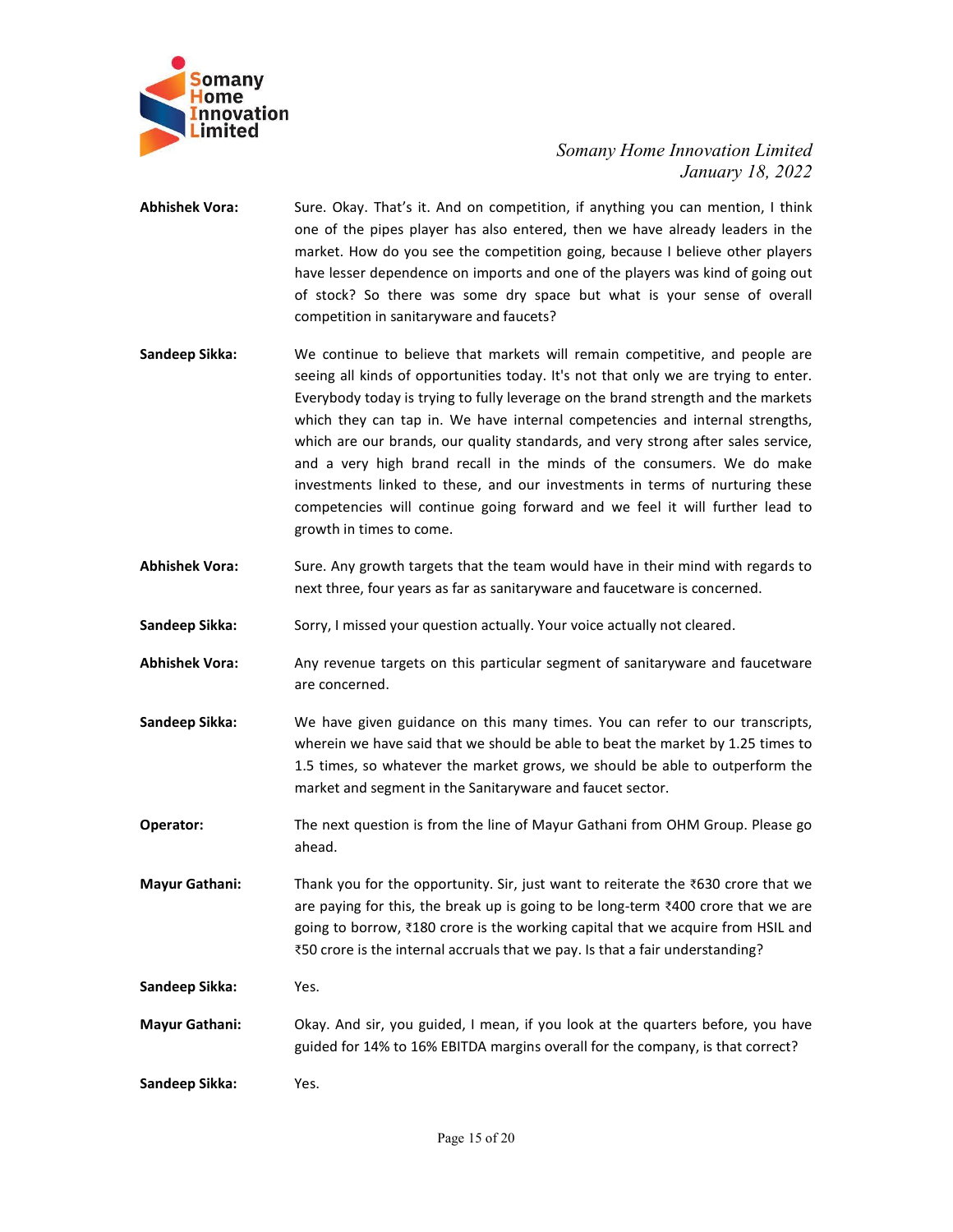

- Somany Home Innovation Limited<br>January 18, 2022<br>In, if anything you can mention, I think<br>d, then we have already leaders in the<br>n going, because I believe other players nnovation Limited<br>January 18, 2022<br>can mention, I think<br>ready leaders in the<br>pelieve other players<br>vas kind of going out Somany<br>
Home<br>
Innovation<br>
Limited<br>
Somany Home Innovation Limited<br>
January 18, 2022<br>
Abhishek Vora:<br>
Sure. Okay. That's it. And on competition, if anything you can mention, I think<br>
one of the pipes player has also entered Somany Home Innovation Limited<br>January 18, 2022<br>Sure. Okay. That's it. And on competition, if anything you can mention, I think<br>one of the pipes player has also entered, then we have already leaders in the<br>market. How do y Somany Home Innovation Limited<br>January 18, 2022<br>Sure. Okay. That's it. And on competition, if anything you can mention, I think<br>one of the pipes player has also entered, then we have already leaders in the<br>market. How do y Somany Home Innovation Limited<br>January 18, 2022<br>Sure. Okay. That's it. And on competition, if anything you can mention, I think<br>one of the pipes player has also entered, then we have already leaders in the<br>market. How do y Somany Home Innovation Limited<br>January 18, 2022<br>Sure. Okay. That's it. And on competition, if anything you can mention, I think<br>one of the pipes player has also entered, then we have already leaders in the<br>market. How do y Somany Home Innovation Limited<br>January 18, 2022<br>January 18, 2022<br>January 18, 2022<br>Sure. Okey, That's it. And on competition, if anything you can mention, 1 think<br>pone of the pipes player has also entered, then we have alre Somany<br>
Somany Home<br>
Initied Somany Home Innovation Limited<br>
Initied Somany Home Innovation I initied<br>
Initied Somany 18, 2022<br>
Abhishek Vora:<br>
Sure. Okay. That's it. And on competition, if anything you can mention, 1 this
- Somany Home Innovation Limited<br>
January 18, 2022<br>
Sure. Okay. That's it. And on competition, if anything you can mention, 1 think<br>
one of the pipes player has also entered, then we have already leaders in the<br>
market. How Somany Home Innovation Limited<br>
January 18, 2022<br>
Sure. Okay. That's it. And on competition, if anything you can mention, 1 think<br>
one of the pipes player has also entered, then we have already leaders in the<br>
market. How Somany Home Innovation Limited<br>
Somany Home Innovation Limited<br>
January 18, 2022<br>
Sure. Okay. That's it. And on competition, if anything you can mention, 1 think<br>
none of the pipes player has also entered, then we have alr Somany Home Innovation Limited<br>
January 18, 2022<br>
Sure. Okay. That's it. And on competition, if anything vou can mention, 1 think<br>
none of the pipes player has also entered, then we have already leaders in the<br>
market. How Somany Home Innovation Limited<br>January 18, 2022<br>Sure. Okay. That's it. And on competition, if anything you can mention, 1 think<br>me of the pipes player has also entered, then we have already leaders in the<br>market. How do yo Somany Home Innovation Limited<br>January 18, 2022<br>Sure. Okay. That's it. And on competition, if anything you can mention, 1 think<br>one of the pipes player has also entered, then we have already leaders in the<br>market. How do y Somany Home Innovation Limited<br>January 18, 2022<br>January 18, 2022<br>Sone of the pipes player has also entered, then we have already leaders in the<br>market. How do you see the competition going, because 1 believe other players<br> Somany Home Innovation Limited<br>
January 18, 2022<br>
Sure. Okay, That's it. And on competition, if anything you can mention, I think<br>
none of the pipes player has also entered, then we have already leaders in the<br>
market. How Abhishek Vora: Sure. Okay. That's it. And on competition, if anything you can mention, 1 think<br>one of the pipes player has also entered, then we have already leaders in the<br>market. How do you see the competition going, bec Sure. Okay. That's it. And on competition, if anything you can mention, I think<br>ome of the pipes player has also entered, then we have already leaders in the<br>market. How do you see the competition going, because I believe Sandeep Sikka: Sorry, I missed your question actually. Your voice actually not cleared. Not have been proposed to the players was kind of going out of stock? So there was some dry space but what is your sense of overall co The particular segment of the particular segment of sanking of stock? So there was some dry space but what is your sense of overall competition in sanitaryware and faucets?<br>
Sandeep Sikka:<br>
We continue to believe that mark or stock? So there was some dry space but what is your sense of overall<br>competition in sanitaryware and faucets?<br>We continue to believe that markets will remain competitive, and people are<br>seeing all kinds of opportunities **Sandeep Sikka:** We continue to believe that markets will remain competitive, and people are seeing all kinds of opportunities today. It's not that only we are trying to enter.<br>Everybody today is trying to fully leverage We continue to believe that markets will remain competitive, and people are<br>seeing all kinds of opportunities today. It's not hat only we are trying to enter.<br>Everybody today is trying to fully leverage on the brand streng seemg all kinds or opportunities today. It's not trati only we are trying to outer.<br>Everybody today is trying to fully leverage on the brand strength and the markets<br>which they can tap in. We have internal competencies and tweybooy today is trying to tully leverage on the brand strength and the markets<br>which they can tap in. We have internal competencies and internal strengths,<br>which are our brands, our quality standards, and very strong aft Which are our brands, our quality standards, and very strong after sales service,<br>
and a very high brand recall in the minds of the consumers. We do make<br>
investments linked to these, and our investments in terms of nurtur
- 
- 
- 
- competencies will continue going forward and we feel it will further lead to<br>
growth in times to come.<br>
Sure, Any growth targets that the team would have in their mind with regards to<br>
sure, the cent tree, four years as fa growth in times to come.<br>
Sure. Any growth targets that the team would have in their mind with regards to<br>
next three, four years as far as sanitary ware and faucetware is concerned.<br>
Sorry, I missed your question actuall ories. Any growth targets that the team would have in their mind with regards to bnext three, four years as far as sanitaryware and faucetware is concerned.<br>Sorry, I missed your question actually. Your voice actually not Sure. Any growth targets that the team would have in their mind with regards to<br>next three, four years as far as sanitaryware and faucetware is concerned.<br>Sorry, I missed your question actually. Your voice actually not cl Sandeep Sikka:<br>
Sorry, I missed your question actually. Your voice actually not clear<br>
Abhishek Vora: Any revenue targets on this particular segment of sanitary<br>
ware are concerned.<br>
Sandeep Sikka: We have given guidance **Abhishek Vora:** Any revenue targets on this particular segment of sanitaryware and faucetware are concerned.<br> **Sandeep Sikka:** We have given guidance on this many times. You can refer to our transcripts, wherein we have Any revenue targets on this particular segment of sanitaryware and faucetware<br>are concerned.<br>We have given guidance on this many times. You can refer to our transcripts,<br>wherein we have said that we should be able to beat Sandeep Sikka:<br>
We have given guidance on this many times. You can refer to<br>
wherein we have said that we should be able to beat the market<br>
1.5 times, so whatever the market grows, we should be able to<br>
market and segmen
- ahead.
- 
- 
- 
-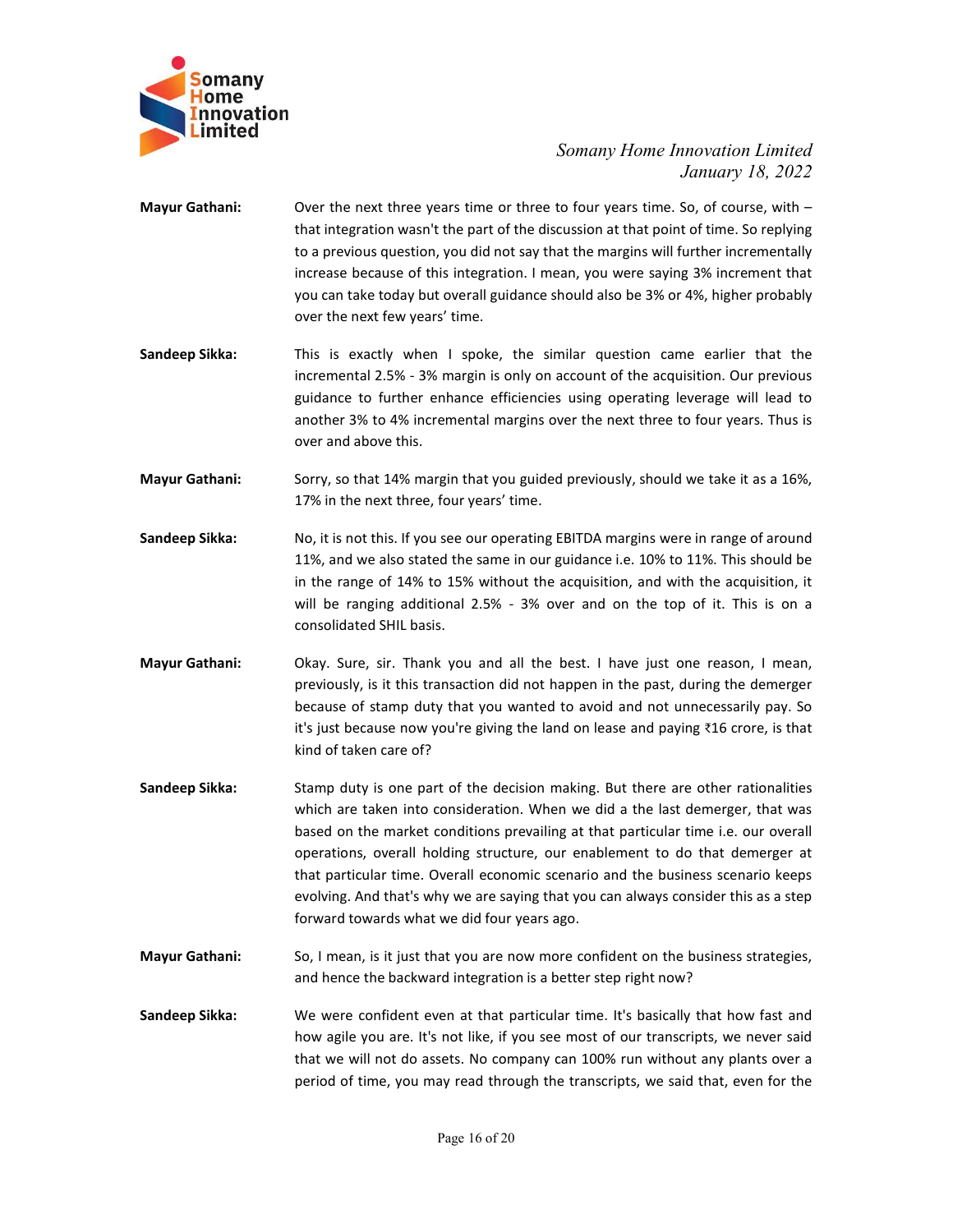

- Somany Home Innovation Limited<br>January 18, 2022<br>to four years time. So, of course, with –<br>cussion at that point of time. So replying<br>at the margins will further incrementally unovation Limited<br>January 18, 2022<br>So, of course, with –<br>t of time. So replying<br>iurther incrementally<br>g 3% increment that Mayur Gathani:<br>
Innovation<br>
Innovation<br>
Instead United Somany Home Innovation Limited<br>
January 18, 2022<br>
Mayur Gathani:<br>
Over the next three years time or three to four years time. So, of course, with –<br>
that integration w Somany Home Innovation Limited<br>January 18, 2022<br>Over the next three years time or three to four years time. So, of course, with –<br>that integration wasn't the part of the discussion at that point of time. So replying<br>to a p Somany Home Innovation Limited<br>January 18, 2022<br>Over the next three years time or three to four years time. So, of course, with-<br>that integration wasn't the part of the discussion at that point of time. So replying<br>to a pr Somany Home Innovation Limited<br>January 18, 2022<br>Over the next three years time or three to four years time. So, of course, with –<br>that integration wasn't the part of the discussion at that point of time. So replying<br>to a p Somany Home Innovation Limited<br>January 18, 2022<br>Over the next three years time or three to four years time. So, of course, with –<br>that integration wasn't the part of the discussion at that point of time. So replying<br>to a p Somany Home Innovation Limited<br>January 18, 2022<br>Jover the next three years time or three to four years time. So, of course, with-<br>that integration wasn't the part of the discussion at that point of time. So replying<br>to a p Somany<br>
Somany Home<br>
Innovation<br>
Invited<br>
Invited<br>
Somany Home Innovation Limited<br>
Somany Home Innovation Limited<br>
Somany Home Important<br>
Sandary 18, 2022<br>
that integration wssn't the part of the discussion at that point o Somany Home Innovation Limited<br>
January 18, 2022<br>
Over the next three years time or three to four years time. So, of course, with –<br>
that integration wasn't the part of the discussion at that point of time. So replying<br>
to Somany Home Innovation Limited<br>
January 18, 2022<br>
Over the next three years time or three to four years time. So, of course, with-<br>
that integration wasn't the part of the discussion at that point of time. So replying<br>
to **Somany Home Innovation Limited**<br> **Somany Home Innovation Limited**<br>
January 18, 2022<br>
Over the next three years time or three to four years time. So, of course, with-<br>
that integration wasn't the part of the discussion at Somany Home Innovation Limited<br>January 18, 2022<br>Over the next three years time or three to four years time. So, of course, with –<br>that integration wasn't the part of the discussion at that point of time. So replying<br>to a p **Example 11.1**<br> **Example 11.1 Sorry, so that intergrable 12.1**<br> **Example 11.1 Sorry, so that intergrable in the same of the discussion at that point of the so replying<br>
that intergrable intergram that you guide a previous** Somany Home Innovation Limited<br>
January 18, 2022<br>
Over the next three years time or three to four years time. So, of course, with-<br>
that integration wash't the part of the discussion at that point of time. So replying<br>
to Somary Home Impaction Limited Sandery 1100 Somary 12002<br>
Sandary 178, 2022<br>
Sandery Cathanti Integration wasn't the part of the discussion at that point of time. So replying<br>
to a previous question, you do not say that the January 18, 2022<br>
Over the next three years time or three to four years time. So, of course, with-<br>
that integration wasn't the part of the discussion at that point of thme. So replying<br>
to a previous question, you did not Over the next three years time or three to four years time. So, of course, with –<br>that integration wasn't the part of the discussion at that point of time. So replying<br>to a previous question, you did not say that the margi be the mean ten experiment of the discussion at that point then, So replying<br>that integration wasn't the part of the discussion at that point of time. So replying<br>to a previous question, you did not say that the margins wi
- the method of this interact of the best substance of the parameter and parameteris of the analysis of the margins will further incrementally increase because of this integration. I mean, you were saying 3% increment that y morease because of this integration. I mean, you were saying 3% increment that<br>you can take today but overall guidance should also be 3% or 4%, higher probably<br>over the next few years' time.<br>This is exactly when 1 spoke, t you can take today but overall guudance should also be 3% or 4%, higher probably<br>
over the next few years' time.<br>
This is exactly when I spoke, the similar question came earlier that the<br>
lincremental 2.5% - 3% margin is o over the next few years' time.<br>This is exactly when I spoke, the similar question came earlier that the premisuremental 2.5% - 3% margin is only on account of the acquisition. Our previous guidance to further enhance effic This is exactly when 1 spoke, the similar question came earlier that the<br>incremental 2.5% - 3% margin is only on account of the acquisition. Our previous<br>guidance to further enhance efficiencies using operating leverage wi
- 
- 
- Incremental 2.5% 3% margin is only on account of the acquisition. Our previous<br>incremental 2.5% 3% margin is only on account of the acquisition. Our previous<br>guidance to further enhance efficiencies using operating lev
- gudance to turther enhance etticeness using operating leverage will lead to<br>solve this.<br>Sorry, so that 14% margin that you guided previously, should we take it as a 16%,<br>17% in the next three, four years' time.<br>Sandeep Sik another 3% to 4% incremental margins over the next three to tour years. Inus is<br>Sorvy, so that 14% margin that you guided previously, should we take it as a 16%,<br>57% in the next three, four years' time.<br>17% in the next the over and above this.<br>Sorry, so that 14% margin that you guided previously, should we take it as a 16%,<br>17% in the next three, four years' time.<br>No, it is not this. If you see our operating EBITDA margins were in range of a Sorry, so that 14% margin that you guided previously, should we take it as a 16%,<br>17% in the next three, four years' time.<br>No, it is not this. If you see our operating EBITDA margins were in range of around<br>11%, and we als stay, the mext homeon is a that particular time. The mext that is a state of the mext three, four years' time.<br>No, it is not this. If you see our operating EBITDA margins were in range of around 11%, and we also stated the Evolving that the sign of the saying EBITDA margins were in range of around No, It is not this. If you see our operating EBITDA margins were in range of around 11%, and we also stated the same in our guidance i.e. 10% to 1 No, it is not this. If you see our operating EBITDA margins were in range of around<br>11%, and we also stated the same in our guidance i.e. 10% to 11%. This should be<br>in the range of 14% to 15% whtotu the acquisition, and wi in the range of 14% to 15% without the acquisition, and with the acquisition, it<br>will be range of 14% to 15% without the acquisition, and with the acquisition, it<br>will be rangeng additional 2.5% - 3% over and on the top of and the backward integration is a better step right now into the backward integration.<br>
Will be ranging additional 2.5% - 3% over and on the top of it. This is on a<br>
Chay. Sure, sir. Thank you and all the best. I have just consolicated SHIL basis.<br>
Onkay Care, sin: Thank you and all the best. I have just one reason, I mean,<br>
oreviously, is it this transaction dd not happen in the past, during the demerger<br>
because of stamp duty that you want Okay. Sure, sir. Thank you and all the best. I have just one reason, I mean,<br>previously, is it this transaction did not happen in the past, during the demerger<br>because of stamp duty that you wanted to avoid and not unneces that we will not do assets. No company can take the control previously, is it this transaction did not happen in the past, during the demerger because of stamp duty that you wanted to avoid and not unnecessarily pay. So tr period of time, you may read through the transcripts, we never shall that, even for the period of time, you may read the diversion of the decision making. But there are other rationalities it is just because now you're giv
- 
-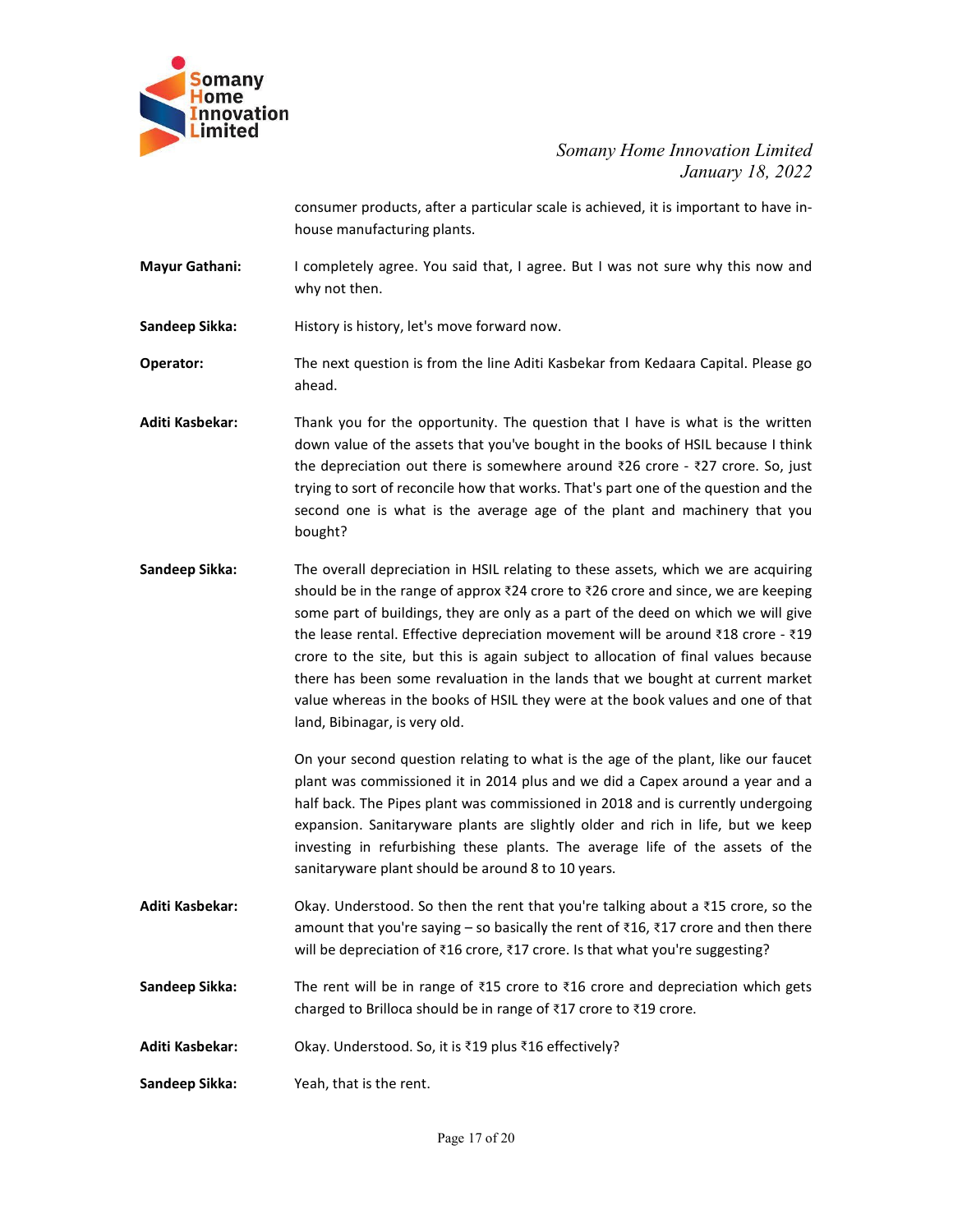

Somany Home Innovation Limited<br>January 18, 2022<br>le is achieved, it is important to have innnovation Limited<br>January 18, 2022<br>mportant to have in-<br>re why this now and Somany Home Innovation Limited<br>January 18, 2022<br>consumer products, after a particular scale is achieved, it is important to have in-<br>house manufacturing plants.<br>I completely agree. You said that, I agree. But I was not sur Somany Home Innovation Limited<br>January 18, 2022<br>consumer products, after a particular scale is achieved, it is important to have in-<br>house manufacturing plants.<br>I completely agree. You said that, I agree. But I was not sur Somany Home Innovation Limited<br>January 18, 2022<br>Consumer products, after a particular scale is achieved, it is important to have in-<br>house manufacturing plants.<br>I completely agree. You said that, I agree. But I was not sur

Mayur Gathani:<br>
Mayur Gathani: I completely agree. You said that, I agree. But I was not sure why this now and<br>
why not then.<br>
Sandeep Sikka: History is history, let's move forward now.<br>
Operator: The next question is from

Somany<br>
Somany Home Innovation Limited<br>
Imperior Limited<br>
Somany Home Innovation Limited<br>
January 18, 2022<br>
consumer products, after a particular scale is achieved, it is important to have in-<br>
house manufacturing plants.<br> ahead.

- **Commany**<br> **Commany**<br> **Commany Home**<br> **Command Consumer products, after a particular scale is achieved, it is important to have in-<br>
house manufacturing plants.<br>
<b>Mayur Gathani:** I completely agree. You said that, 1 agree. **Examples 10**<br> **Adition Consumer products, after a particular scale is achieved, it is important to have in-<br>
house manufacturing plants.<br>
<b>Mayur Gathani:** I completely agree. You said that, I agree. But I was not sure wh Somany Home Innovation Limited<br>
January 18, 2022<br>
consumer products, after a particular scale is achieved, it is important to have in-<br>
house manufacturing plants.<br>
I completely agree. You said that, I agree. But I was not Somany Home Innovation Limited<br>January 18, 2022<br>tonsumer products, after a particular scale is achieved, it is important to have in-<br>house manufacturing plants.<br>tompletely agree. You said that, 1 agree. But I was not sure Somany Home Innovation Limited<br>January 18, 2022<br>oonsumer products, after a particular scale is achieved, it is important to have in-<br>house manufacturing plants.<br>Let ompletely agree. You said that, 1 agree. But I was not s Somany Home Innovation Limited<br>January 18, 2022<br>house manufacturing plants.<br>House manufacturing plants.<br>I completely agree. You said that, I agree. But I was not sure why this now and<br>why not then.<br>History is history, let bought?
- Sandeep Sikka: The overall depreciation in HSIL relating to these assets the overall the overall depreciation in the lands that a state why this now and why not then.<br>
Sandeep Sikka: History is history, let's move forward consumer products, after a particular scale is achieved, it is important to have in-<br>house manufacturing plants.<br>
I completely agree. You said that, I agree. But I was not sure why this now and<br>
why not then.<br>
History is house manufacturing plants.<br>
I completely agree. You said that, I agree. But I was not sure why this now and<br>
why not then.<br>
History is history, let's move forward now.<br>
The next question is from the line Aditi Kasbekar f I completely agree. You said that, I agree. But I was not sure why this now and<br>why not then.<br>History is history, let's move forward now.<br>The next question is from the line Aditi Kasbekar from Kedaara Capital. Please go<br>a t completely agree. You said that, 1 agree. But I was not sure why this now and<br>why not then.<br>History is history, let's move forward now.<br>The next question is from the line Aditi Kasbekar from Kedaara Capital. Please go<br>a Why not then.<br>The next question is from the line Aditi Kasbekar from Kedaara Capital. Please go<br>ahead.<br>Thank you for the opportunity. The question that I have is what is the written<br>down value of the assets that you've bo History is history, let's move forward now.<br>The next question is from the line Aditi Kasbekar from Kedaara Capital. Please go<br>ahead.<br>Thank you for the opportunity. The question that I have is what is the written<br>down value rinco, *y* sincto, *y* extert in the line Aditi Kasbekar from Kedaara Capital. Please go<br>The next question is from the line Aditi Kasbekar from Kedaara Capital. Please go<br>ahead.<br>Thank you for the opportunity. The question The mass variant unit of the age of the plant interaction relationships a and the age of the assets that you ve bought in the books of HSIL because I think the depreciation out there is somewhere around  $\overline{26}$  crore  $\$ Entrank you for the opportunity. The question that I have is what is the written<br>Thank you for the assets that you've bought in the books of HSIL because I think<br>the depreciation out there is somewhere around ₹26 crore - Thank you for the opportunity. The question that I have is what is the written<br>down value of the assets that you've bought in the books of HSIL because I think<br>the depreciation out there is somewhere around 326 crore - 327 down value of the assets that you've bought in the books of HSIL because I think<br>the depreciation out there is somewhere around ₹26 crore - ₹27 crore. So, just<br>thying to sort of reconcile how that works. That's part one of the depreciation out there is somewhere around ₹26 crore - ₹27 crore. So, just<br>trying to soor of reconcile how that works. That's part one of the question and the<br>second one is what is the average age of the plant and mac trying to sort of reconcile how that works. That's part one of the question and the<br>second one is what is the average age of the plant and machinery that you<br>Domeyth?<br>The overall depreciation in HSIL relating to these asse Sandeep Sikka:<br>
The overall depreciation in HSIL relating to these assets, which we are acquiring<br>
should be in the range of approx ₹24 crore to ₹26 crore and since, we are keeping<br>
some part of buildings, they are only a Every intert of the computer of the Simpler of the seasets, which we are acquiring<br>
Should be in the range of approx ₹24 crore to ₹26 crore and since, we are keeping<br>
some part of buildings, they are only as a part of the The overall depreciation in HSIL relating to these assets, which we are acquiring should be in the range of approx 224 crore to 286 crore and since, we are keeping show and the in the range of approx 224 crore to the site Sandeep Sikka: The rent will be in range of ₹15 crore to ₹16 crore and the rent will be reservent will be in range of  $\approx$  15 crore to the site, but this is again subject to allocation of final values because the lead on w

charge variantly substrated to method in the lange of xingle and the lease rental. Effective depreciation movement will be around 318 crore - ₹19 crore to the site, but this is again subject to allocation of final values Error to the site, but this is again subject to allocation of thind values because<br>there has been some revaluation in the lands that we bought at current market<br>value whereas in the books of HSIL they were at the book val value whereas in the books of HSIL they were at the book values and one of that<br>
land, Biblinagar, is very old.<br>
On your second question relating to what is the age of the plant, like our faucet<br>
On your second question r

- 
-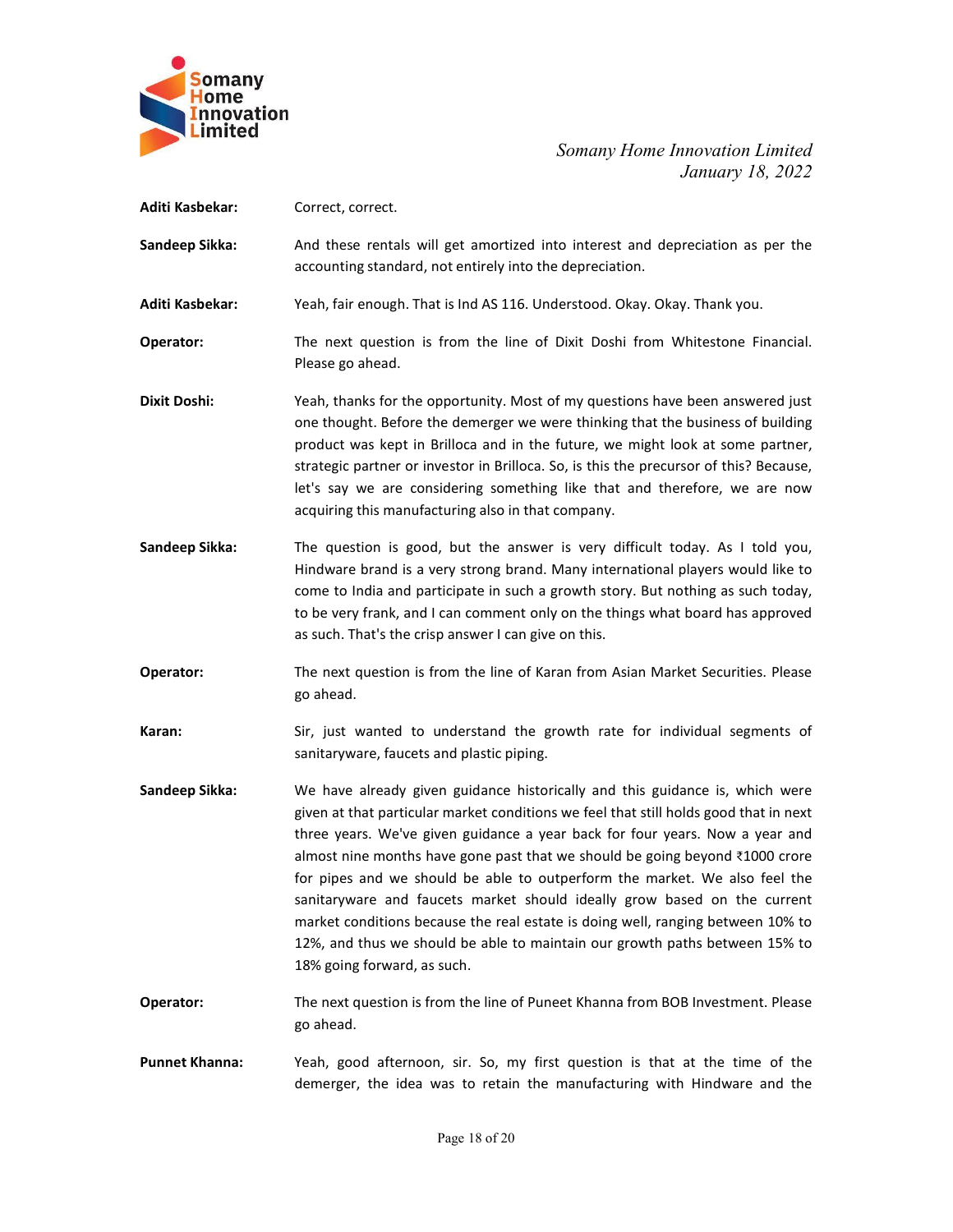

| Somany<br><b>lome</b><br>nnovation<br>imited | Somany Home Innovation Limited                                                                                                                                                                                                                                                                                                                                                                                                                                                                                                                                                                                                                                                                   |
|----------------------------------------------|--------------------------------------------------------------------------------------------------------------------------------------------------------------------------------------------------------------------------------------------------------------------------------------------------------------------------------------------------------------------------------------------------------------------------------------------------------------------------------------------------------------------------------------------------------------------------------------------------------------------------------------------------------------------------------------------------|
|                                              | January 18, 2022                                                                                                                                                                                                                                                                                                                                                                                                                                                                                                                                                                                                                                                                                 |
| Aditi Kasbekar:                              | Correct, correct.                                                                                                                                                                                                                                                                                                                                                                                                                                                                                                                                                                                                                                                                                |
| Sandeep Sikka:                               | And these rentals will get amortized into interest and depreciation as per the<br>accounting standard, not entirely into the depreciation.                                                                                                                                                                                                                                                                                                                                                                                                                                                                                                                                                       |
| Aditi Kasbekar:                              | Yeah, fair enough. That is Ind AS 116. Understood. Okay. Okay. Thank you.                                                                                                                                                                                                                                                                                                                                                                                                                                                                                                                                                                                                                        |
| Operator:                                    | The next question is from the line of Dixit Doshi from Whitestone Financial.<br>Please go ahead.                                                                                                                                                                                                                                                                                                                                                                                                                                                                                                                                                                                                 |
| <b>Dixit Doshi:</b>                          | Yeah, thanks for the opportunity. Most of my questions have been answered just<br>one thought. Before the demerger we were thinking that the business of building<br>product was kept in Brilloca and in the future, we might look at some partner,<br>strategic partner or investor in Brilloca. So, is this the precursor of this? Because,<br>let's say we are considering something like that and therefore, we are now<br>acquiring this manufacturing also in that company.                                                                                                                                                                                                                |
| Sandeep Sikka:                               | The question is good, but the answer is very difficult today. As I told you,<br>Hindware brand is a very strong brand. Many international players would like to<br>come to India and participate in such a growth story. But nothing as such today,<br>to be very frank, and I can comment only on the things what board has approved<br>as such. That's the crisp answer I can give on this.                                                                                                                                                                                                                                                                                                    |
| Operator:                                    | The next question is from the line of Karan from Asian Market Securities. Please<br>go ahead.                                                                                                                                                                                                                                                                                                                                                                                                                                                                                                                                                                                                    |
| Karan:                                       | Sir, just wanted to understand the growth rate for individual segments of<br>sanitaryware, faucets and plastic piping.                                                                                                                                                                                                                                                                                                                                                                                                                                                                                                                                                                           |
| Sandeep Sikka:                               | We have already given guidance historically and this guidance is, which were<br>given at that particular market conditions we feel that still holds good that in next<br>three years. We've given guidance a year back for four years. Now a year and<br>almost nine months have gone past that we should be going beyond ₹1000 crore<br>for pipes and we should be able to outperform the market. We also feel the<br>sanitaryware and faucets market should ideally grow based on the current<br>market conditions because the real estate is doing well, ranging between 10% to<br>12%, and thus we should be able to maintain our growth paths between 15% to<br>18% going forward, as such. |
| Operator:                                    | The next question is from the line of Puneet Khanna from BOB Investment. Please<br>go ahead.                                                                                                                                                                                                                                                                                                                                                                                                                                                                                                                                                                                                     |
| <b>Punnet Khanna:</b>                        | Yeah, good afternoon, sir. So, my first question is that at the time of the<br>demerger, the idea was to retain the manufacturing with Hindware and the                                                                                                                                                                                                                                                                                                                                                                                                                                                                                                                                          |
|                                              | Page 18 of 20                                                                                                                                                                                                                                                                                                                                                                                                                                                                                                                                                                                                                                                                                    |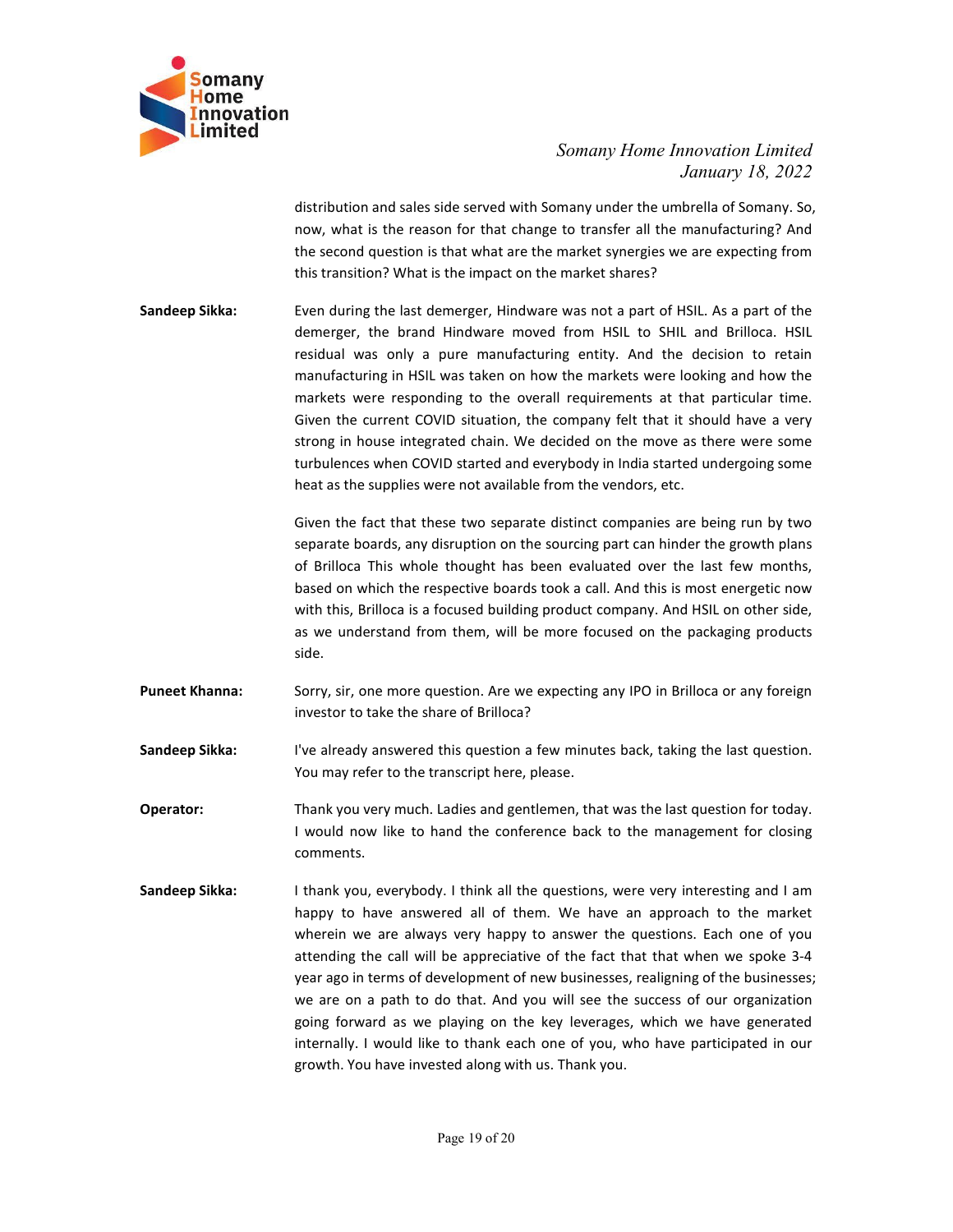

Somany Home Innovation Limited<br>January 18, 2022<br>many under the umbrella of Somany. So,<br>to transfer all the manufacturing? And<br>market synergies we are expecting from nnovation Limited<br>January 18, 2022<br>brella of Somany. So,<br>manufacturing? And<br>e are expecting from Somany Home Innovation Limited<br>January 18, 2022<br>distribution and sales side served with Somany under the umbrella of Somany. So,<br>now, what is the reason for that change to transfer all the manufacturing? And<br>the second que Somany Home Innovation Limited<br>January 18, 2022<br>distribution and sales side served with Somany under the umbrella of Somany. So,<br>now, what is the reason for that change to transfer all the manufacturing? And<br>the second que Somany Home Innovation Limited<br>January 18, 2022<br>distribution and sales side served with Somany under the umbrella of Somany. So,<br>now, what is the reason for that change to transfer all the manufacturing? And<br>the second que

Somany Home Innovation Limited<br>January 18, 2022<br>distribution and sales side served with Somany under the umbrella of Somany. So,<br>now, what is the reason for that change to transfer all the manufacturing? And<br>the second que Somany<br>
Somany Iome Innovation Limited<br>
Innovation<br>
Innovation<br>
Innovation<br>
distribution and sales side served with Somany under the umbrella of Somany. So,<br>
now, what is the reason for that change to transfer all the manu Somany Home Innovation Limited<br>January 18, 2022<br>Jaistribution and sales side served with Somany under the umbrella of Somany. So,<br>now, what is the reason for that change to transfer all the manufacturing? And<br>the second qu Somany Home Innovation Limited<br>
January 18, 2022<br>
distribution and sales side served with Somany under the umbrella of Somany. So,<br>
now, what is the reason for that change to transfer all the manufacturing? And<br>
the second Somany Home Innovation Limited<br>
January 18, 2022<br>
distribution and sales side served with Somany under the umbrella of Somany. So,<br>
now, what is the reason for that change to transfer all the manufacturing? And<br>
the second Somany Home Innovation Limited<br>
January 18, 2022<br>
distribution and sales side served with Somany under the umbrella of Somany. So,<br>
now, what is the reason for that change to transfer all the manufacturing? And<br>
the second Somany Home Innovation Limited<br>
distribution and sales side served with Somany under the unherlala of Somany, So,<br>
now, what is the reason for that change to transfer all the manufacturing? And<br>
the second question is that Somany Home Innovation Limited<br>
January 18, 2022<br>
distribution and sales side served with Somany under the unhella of Somany. So,<br>
now, what is the reason for that change to transfer all the manufacturing? And<br>
the second Somany Home Innovation Limited<br>
January 18, 2022<br>
distribution and sales side served with Somany under the umbrella of Somany. So,<br>
now, what is the reason for that change to transfer all the manufacturing? And<br>
this trans Somany Home Innovation Limited<br>January 18, 2022<br>Jaistribution and sales side served with Somany under the umbrella of Somany. So,<br>now, what is the reason for that change to transfer all the manufacturing? And<br>the second qu Somany Home Innovation Limited<br>
January 18, 2022<br>
distribution and sales side served with Somany under the umbrella of Somany. So,<br>
now, what is the reason for that change to transfer all the manufacturing? And<br>
the second solution and sales side served with Somany under the umbrelation *Lamitary 18, 2022*<br>January 18, 2022<br>now, what is the reason for that change to transfer all the manufacturing? And<br>the second question is that what are the of this distribution and sales side served with Somany under the unhelella of Somany. So,<br>now, what is the reason for that change to transfer all the manufacturing? And<br>the second question is that what are the market syner distribution and sales side served with Somany under the umbrella of Somany. So,<br>now, what is the reason for that change to transfer all the manufacturing? And<br>the second question is that what are the market synergies we a now, what is the reason for that change to transfer all the manufacturing? And<br>the second question is that what are the market synergies we are expecting from<br>this transition? What is the impact on the market shares?<br>Even the second question is that what are the market synergies we are expecting from<br>this transition? What is the impact on the market shares?<br>Even during the last demerger, Hindware was not a part of HSIL. As a part of the<br>dem Sandeep Sikka:<br>
Even during the last demerger, Hindware was not a part of HSIL. As a part of the dension a HSIL residual Iwas only a pure manufacturing entity. And the decision to retain<br>
manufacturing in HSIL was taken on demerger, the brand Hindware moved from HSIL to SHIL and Brilloca. HSIL<br>mestrastidal was only a pure manufacturing entity. And the decision to retain<br>manufacturing in HSIL was taken on how the markets were looking and how Sandeep Sikka: Were responding to the overall requirements at that particle the markets were looking and how the markets were responding to the overall requirements at that particular time. Given the current COVID studion,

side. markets were responding to the overall requirements at that particular time.<br>
Given the current COVID situation, the company felt that it should have a very<br>
strong in house integrated chain. We decided on the move as ther Owen the current COVID statuation, the company lett that it should awe a very stated and the move as the were some turbulences when COVID stated and everybody in India started undergoing some heat as the supplies were not strong in nouse integrated chain. We decided on the move as there were some<br>turbulences when COVID started and everybody in india started undergoing some<br>heat as the supplies were not available from the vendors, etc.<br>Given

- 
- 
- comments.
- Given the fact that these two separate distinct companies are being run by two<br>separate boards, any disruption on the sourcing part can hinder the growth plans<br>of Brilloca This whole thought has been evaluated over the las Given the fact that these two separate distinct companies are being run by two<br>separate boards, any disruption on the sourcing part can hinder the growth plans<br>of Brilloca This whole thought has been evaluated over the las separate boards, any assruption on the sourcing part can innier the growth pians<br>of of Brilloca This whole thought has been evaluated over the last few months,<br>based on which the respective boards took a call. And this is or Brilloca Ints winde thought has been evaluated over the last tew months,<br>based on which the respective boards took a call. And this is most energetic now<br>with this, Brilloca is a focused building product company. And HS based on which the respective boards took a call. And this is most energetic now<br>wist htis, Brilloca is a focused building product company. And HSIL on other side,<br>as we understand from them, will be more focused on the pa with this, brilloca is a tocused building product company. And HSLL on other side,<br>side.<br>Side.<br>Side.<br>Side.<br>Simplestican from them, will be more focused on the packaging products<br>side.<br>Forry, sir, one more question. Are we as we understand from them, will be more focused on the packaging products<br>Sider,<br>Sorry, sir, one more question. Are we expecting any IPO in Brilloca or any foreign<br>investor to take the share of Brilloca?<br>Then already answ side.<br>
Sorry, sir, one more question. Are we expecting any IPO in Brilloca or any foreign<br>
investor to take the share of Brilloca?<br>
I've already answered this question a few minutes back, taking the last question.<br>
You may Sorry, sir, one more question. Are we expecting any IPO in Brilloca or any foreign<br>investor to take the share of Brilloca?<br>Thenk you very much. Ladies and gentlemen, that was the last question for today.<br>Thank you very muc